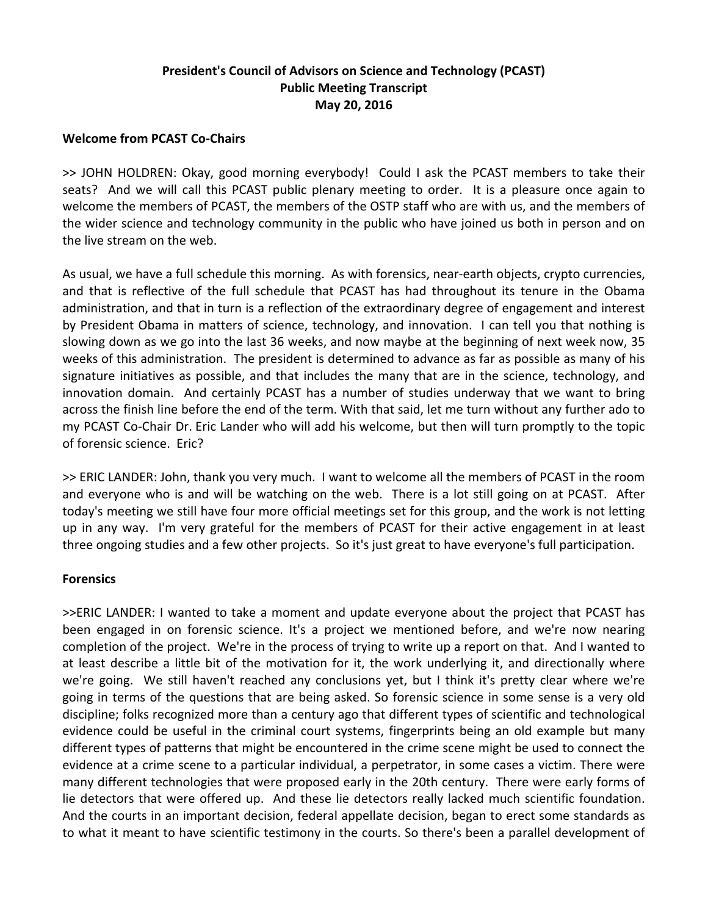# **President's Council of Advisors on Science and Technology (PCAST) Public Meeting Transcript May 20, 2016**

# **Welcome from PCAST Co‐Chairs**

>> JOHN HOLDREN: Okay, good morning everybody! Could I ask the PCAST members to take their seats? And we will call this PCAST public plenary meeting to order. It is a pleasure once again to welcome the members of PCAST, the members of the OSTP staff who are with us, and the members of the wider science and technology community in the public who have joined us both in person and on the live stream on the web.

As usual, we have a full schedule this morning. As with forensics, near-earth objects, crypto currencies, and that is reflective of the full schedule that PCAST has had throughout its tenure in the Obama administration, and that in turn is a reflection of the extraordinary degree of engagement and interest by President Obama in matters of science, technology, and innovation. I can tell you that nothing is slowing down as we go into the last 36 weeks, and now maybe at the beginning of next week now, 35 weeks of this administration. The president is determined to advance as far as possible as many of his signature initiatives as possible, and that includes the many that are in the science, technology, and innovation domain. And certainly PCAST has a number of studies underway that we want to bring across the finish line before the end of the term. With that said, let me turn without any further ado to my PCAST Co‐Chair Dr. Eric Lander who will add his welcome, but then will turn promptly to the topic of forensic science. Eric?

>> ERIC LANDER: John, thank you very much. I want to welcome all the members of PCAST in the room and everyone who is and will be watching on the web. There is a lot still going on at PCAST. After today's meeting we still have four more official meetings set for this group, and the work is not letting up in any way. I'm very grateful for the members of PCAST for their active engagement in at least three ongoing studies and a few other projects. So it's just great to have everyone's full participation.

### **Forensics**

>>ERIC LANDER: I wanted to take a moment and update everyone about the project that PCAST has been engaged in on forensic science. It's a project we mentioned before, and we're now nearing completion of the project. We're in the process of trying to write up a report on that. And I wanted to at least describe a little bit of the motivation for it, the work underlying it, and directionally where we're going. We still haven't reached any conclusions yet, but I think it's pretty clear where we're going in terms of the questions that are being asked. So forensic science in some sense is a very old discipline; folks recognized more than a century ago that different types of scientific and technological evidence could be useful in the criminal court systems, fingerprints being an old example but many different types of patterns that might be encountered in the crime scene might be used to connect the evidence at a crime scene to a particular individual, a perpetrator, in some cases a victim. There were many different technologies that were proposed early in the 20th century. There were early forms of lie detectors that were offered up. And these lie detectors really lacked much scientific foundation. And the courts in an important decision, federal appellate decision, began to erect some standards as to what it meant to have scientific testimony in the courts. So there's been a parallel development of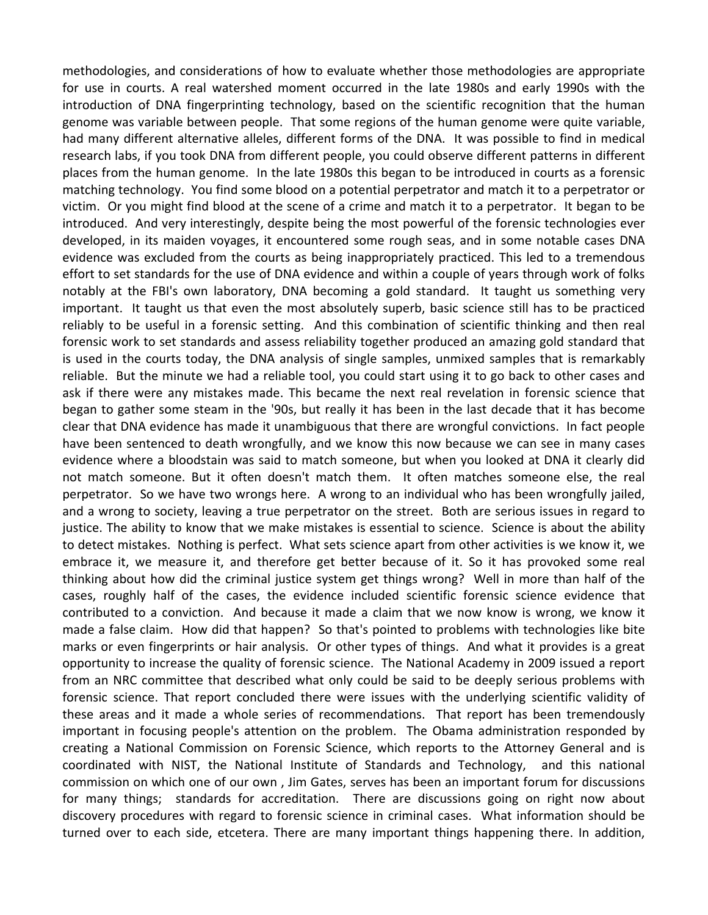methodologies, and considerations of how to evaluate whether those methodologies are appropriate for use in courts. A real watershed moment occurred in the late 1980s and early 1990s with the introduction of DNA fingerprinting technology, based on the scientific recognition that the human genome was variable between people. That some regions of the human genome were quite variable, had many different alternative alleles, different forms of the DNA. It was possible to find in medical research labs, if you took DNA from different people, you could observe different patterns in different places from the human genome. In the late 1980s this began to be introduced in courts as a forensic matching technology. You find some blood on a potential perpetrator and match it to a perpetrator or victim. Or you might find blood at the scene of a crime and match it to a perpetrator. It began to be introduced. And very interestingly, despite being the most powerful of the forensic technologies ever developed, in its maiden voyages, it encountered some rough seas, and in some notable cases DNA evidence was excluded from the courts as being inappropriately practiced. This led to a tremendous effort to set standards for the use of DNA evidence and within a couple of years through work of folks notably at the FBI's own laboratory, DNA becoming a gold standard. It taught us something very important. It taught us that even the most absolutely superb, basic science still has to be practiced reliably to be useful in a forensic setting. And this combination of scientific thinking and then real forensic work to set standards and assess reliability together produced an amazing gold standard that is used in the courts today, the DNA analysis of single samples, unmixed samples that is remarkably reliable. But the minute we had a reliable tool, you could start using it to go back to other cases and ask if there were any mistakes made. This became the next real revelation in forensic science that began to gather some steam in the '90s, but really it has been in the last decade that it has become clear that DNA evidence has made it unambiguous that there are wrongful convictions. In fact people have been sentenced to death wrongfully, and we know this now because we can see in many cases evidence where a bloodstain was said to match someone, but when you looked at DNA it clearly did not match someone. But it often doesn't match them. It often matches someone else, the real perpetrator. So we have two wrongs here. A wrong to an individual who has been wrongfully jailed, and a wrong to society, leaving a true perpetrator on the street. Both are serious issues in regard to justice. The ability to know that we make mistakes is essential to science. Science is about the ability to detect mistakes. Nothing is perfect. What sets science apart from other activities is we know it, we embrace it, we measure it, and therefore get better because of it. So it has provoked some real thinking about how did the criminal justice system get things wrong? Well in more than half of the cases, roughly half of the cases, the evidence included scientific forensic science evidence that contributed to a conviction. And because it made a claim that we now know is wrong, we know it made a false claim. How did that happen? So that's pointed to problems with technologies like bite marks or even fingerprints or hair analysis. Or other types of things. And what it provides is a great opportunity to increase the quality of forensic science. The National Academy in 2009 issued a report from an NRC committee that described what only could be said to be deeply serious problems with forensic science. That report concluded there were issues with the underlying scientific validity of these areas and it made a whole series of recommendations. That report has been tremendously important in focusing people's attention on the problem. The Obama administration responded by creating a National Commission on Forensic Science, which reports to the Attorney General and is coordinated with NIST, the National Institute of Standards and Technology, and this national commission on which one of our own , Jim Gates, serves has been an important forum for discussions for many things; standards for accreditation. There are discussions going on right now about discovery procedures with regard to forensic science in criminal cases. What information should be turned over to each side, etcetera. There are many important things happening there. In addition,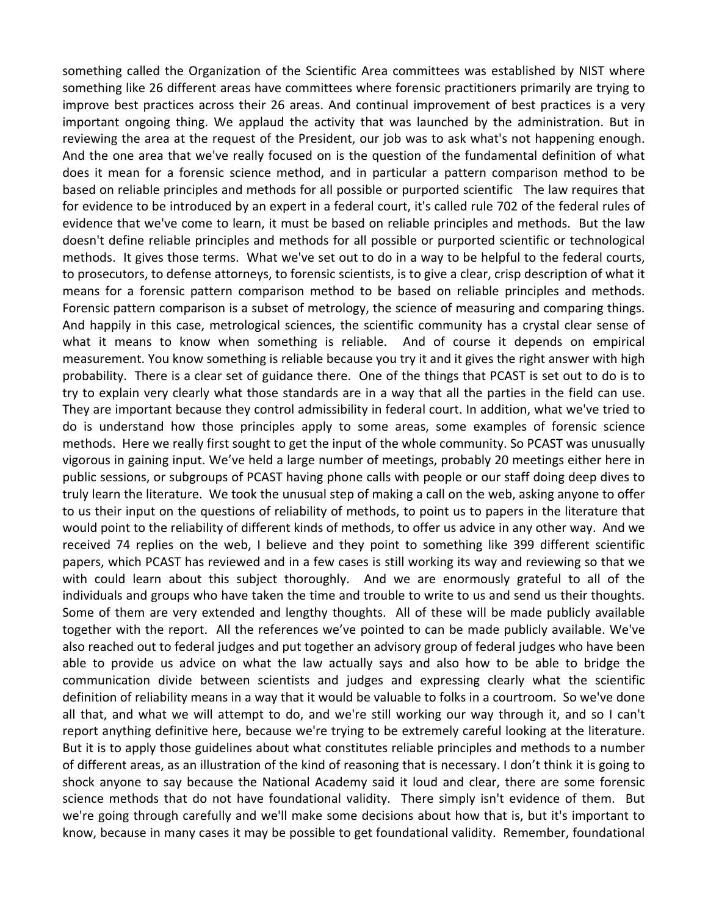something called the Organization of the Scientific Area committees was established by NIST where something like 26 different areas have committees where forensic practitioners primarily are trying to improve best practices across their 26 areas. And continual improvement of best practices is a very important ongoing thing. We applaud the activity that was launched by the administration. But in reviewing the area at the request of the President, our job was to ask what's not happening enough. And the one area that we've really focused on is the question of the fundamental definition of what does it mean for a forensic science method, and in particular a pattern comparison method to be based on reliable principles and methods for all possible or purported scientific The law requires that for evidence to be introduced by an expert in a federal court, it's called rule 702 of the federal rules of evidence that we've come to learn, it must be based on reliable principles and methods. But the law doesn't define reliable principles and methods for all possible or purported scientific or technological methods. It gives those terms. What we've set out to do in a way to be helpful to the federal courts, to prosecutors, to defense attorneys, to forensic scientists, is to give a clear, crisp description of what it means for a forensic pattern comparison method to be based on reliable principles and methods. Forensic pattern comparison is a subset of metrology, the science of measuring and comparing things. And happily in this case, metrological sciences, the scientific community has a crystal clear sense of what it means to know when something is reliable. And of course it depends on empirical measurement. You know something is reliable because you try it and it gives the right answer with high probability. There is a clear set of guidance there. One of the things that PCAST is set out to do is to try to explain very clearly what those standards are in a way that all the parties in the field can use. They are important because they control admissibility in federal court. In addition, what we've tried to do is understand how those principles apply to some areas, some examples of forensic science methods. Here we really first sought to get the input of the whole community. So PCAST was unusually vigorous in gaining input. We've held a large number of meetings, probably 20 meetings either here in public sessions, or subgroups of PCAST having phone calls with people or our staff doing deep dives to truly learn the literature. We took the unusual step of making a call on the web, asking anyone to offer to us their input on the questions of reliability of methods, to point us to papers in the literature that would point to the reliability of different kinds of methods, to offer us advice in any other way. And we received 74 replies on the web, I believe and they point to something like 399 different scientific papers, which PCAST has reviewed and in a few cases is still working its way and reviewing so that we with could learn about this subject thoroughly. And we are enormously grateful to all of the individuals and groups who have taken the time and trouble to write to us and send us their thoughts. Some of them are very extended and lengthy thoughts. All of these will be made publicly available together with the report. All the references we've pointed to can be made publicly available. We've also reached out to federal judges and put together an advisory group of federal judges who have been able to provide us advice on what the law actually says and also how to be able to bridge the communication divide between scientists and judges and expressing clearly what the scientific definition of reliability means in a way that it would be valuable to folks in a courtroom. So we've done all that, and what we will attempt to do, and we're still working our way through it, and so I can't report anything definitive here, because we're trying to be extremely careful looking at the literature. But it is to apply those guidelines about what constitutes reliable principles and methods to a number of different areas, as an illustration of the kind of reasoning that is necessary. I don't think it is going to shock anyone to say because the National Academy said it loud and clear, there are some forensic science methods that do not have foundational validity. There simply isn't evidence of them. But we're going through carefully and we'll make some decisions about how that is, but it's important to know, because in many cases it may be possible to get foundational validity. Remember, foundational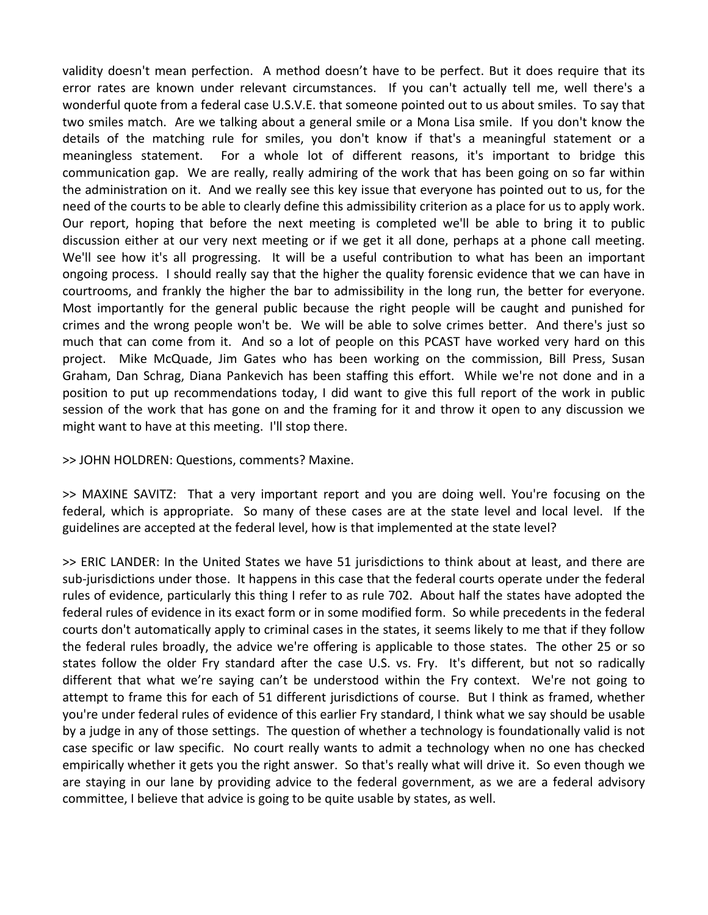validity doesn't mean perfection. A method doesn't have to be perfect. But it does require that its error rates are known under relevant circumstances. If you can't actually tell me, well there's a wonderful quote from a federal case U.S.V.E. that someone pointed out to us about smiles. To say that two smiles match. Are we talking about a general smile or a Mona Lisa smile. If you don't know the details of the matching rule for smiles, you don't know if that's a meaningful statement or a meaningless statement. For a whole lot of different reasons, it's important to bridge this communication gap. We are really, really admiring of the work that has been going on so far within the administration on it. And we really see this key issue that everyone has pointed out to us, for the need of the courts to be able to clearly define this admissibility criterion as a place for us to apply work. Our report, hoping that before the next meeting is completed we'll be able to bring it to public discussion either at our very next meeting or if we get it all done, perhaps at a phone call meeting. We'll see how it's all progressing. It will be a useful contribution to what has been an important ongoing process. I should really say that the higher the quality forensic evidence that we can have in courtrooms, and frankly the higher the bar to admissibility in the long run, the better for everyone. Most importantly for the general public because the right people will be caught and punished for crimes and the wrong people won't be. We will be able to solve crimes better. And there's just so much that can come from it. And so a lot of people on this PCAST have worked very hard on this project. Mike McQuade, Jim Gates who has been working on the commission, Bill Press, Susan Graham, Dan Schrag, Diana Pankevich has been staffing this effort. While we're not done and in a position to put up recommendations today, I did want to give this full report of the work in public session of the work that has gone on and the framing for it and throw it open to any discussion we might want to have at this meeting. I'll stop there.

>> JOHN HOLDREN: Questions, comments? Maxine.

>> MAXINE SAVITZ: That a very important report and you are doing well. You're focusing on the federal, which is appropriate. So many of these cases are at the state level and local level. If the guidelines are accepted at the federal level, how is that implemented at the state level?

>> ERIC LANDER: In the United States we have 51 jurisdictions to think about at least, and there are sub‐jurisdictions under those. It happens in this case that the federal courts operate under the federal rules of evidence, particularly this thing I refer to as rule 702. About half the states have adopted the federal rules of evidence in its exact form or in some modified form. So while precedents in the federal courts don't automatically apply to criminal cases in the states, it seems likely to me that if they follow the federal rules broadly, the advice we're offering is applicable to those states. The other 25 or so states follow the older Fry standard after the case U.S. vs. Fry. It's different, but not so radically different that what we're saying can't be understood within the Fry context. We're not going to attempt to frame this for each of 51 different jurisdictions of course. But I think as framed, whether you're under federal rules of evidence of this earlier Fry standard, I think what we say should be usable by a judge in any of those settings. The question of whether a technology is foundationally valid is not case specific or law specific. No court really wants to admit a technology when no one has checked empirically whether it gets you the right answer. So that's really what will drive it. So even though we are staying in our lane by providing advice to the federal government, as we are a federal advisory committee, I believe that advice is going to be quite usable by states, as well.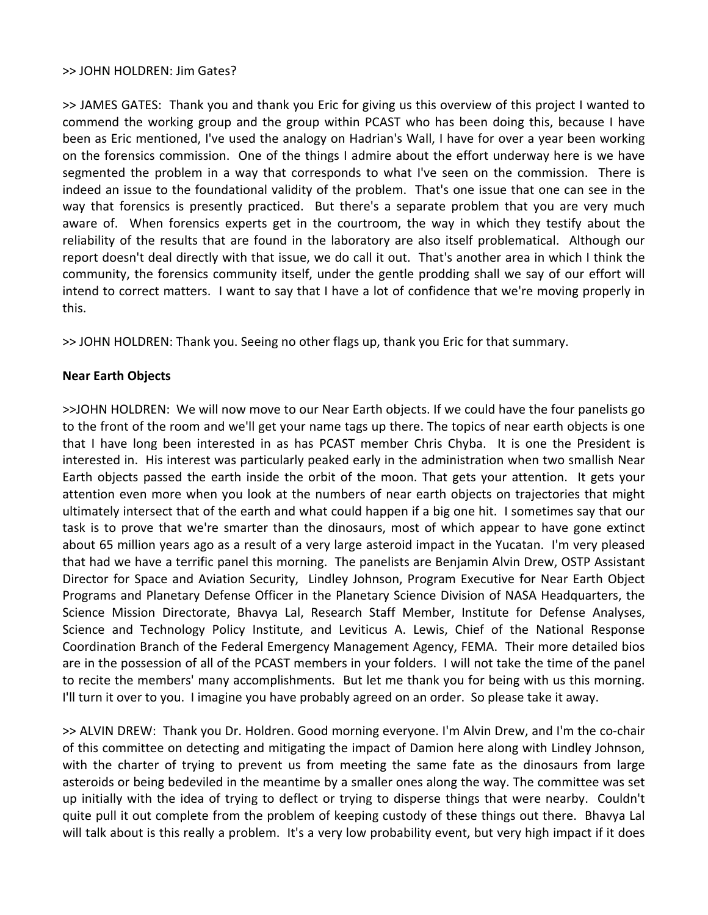### >> JOHN HOLDREN: Jim Gates?

>> JAMES GATES: Thank you and thank you Eric for giving us this overview of this project I wanted to commend the working group and the group within PCAST who has been doing this, because I have been as Eric mentioned, I've used the analogy on Hadrian's Wall, I have for over a year been working on the forensics commission. One of the things I admire about the effort underway here is we have segmented the problem in a way that corresponds to what I've seen on the commission. There is indeed an issue to the foundational validity of the problem. That's one issue that one can see in the way that forensics is presently practiced. But there's a separate problem that you are very much aware of. When forensics experts get in the courtroom, the way in which they testify about the reliability of the results that are found in the laboratory are also itself problematical. Although our report doesn't deal directly with that issue, we do call it out. That's another area in which I think the community, the forensics community itself, under the gentle prodding shall we say of our effort will intend to correct matters. I want to say that I have a lot of confidence that we're moving properly in this.

>> JOHN HOLDREN: Thank you. Seeing no other flags up, thank you Eric for that summary.

## **Near Earth Objects**

>>JOHN HOLDREN: We will now move to our Near Earth objects. If we could have the four panelists go to the front of the room and we'll get your name tags up there. The topics of near earth objects is one that I have long been interested in as has PCAST member Chris Chyba. It is one the President is interested in. His interest was particularly peaked early in the administration when two smallish Near Earth objects passed the earth inside the orbit of the moon. That gets your attention. It gets your attention even more when you look at the numbers of near earth objects on trajectories that might ultimately intersect that of the earth and what could happen if a big one hit. I sometimes say that our task is to prove that we're smarter than the dinosaurs, most of which appear to have gone extinct about 65 million years ago as a result of a very large asteroid impact in the Yucatan. I'm very pleased that had we have a terrific panel this morning. The panelists are Benjamin Alvin Drew, OSTP Assistant Director for Space and Aviation Security, Lindley Johnson, Program Executive for Near Earth Object Programs and Planetary Defense Officer in the Planetary Science Division of NASA Headquarters, the Science Mission Directorate, Bhavya Lal, Research Staff Member, Institute for Defense Analyses, Science and Technology Policy Institute, and Leviticus A. Lewis, Chief of the National Response Coordination Branch of the Federal Emergency Management Agency, FEMA. Their more detailed bios are in the possession of all of the PCAST members in your folders. I will not take the time of the panel to recite the members' many accomplishments. But let me thank you for being with us this morning. I'll turn it over to you. I imagine you have probably agreed on an order. So please take it away.

>> ALVIN DREW: Thank you Dr. Holdren. Good morning everyone. I'm Alvin Drew, and I'm the co‐chair of this committee on detecting and mitigating the impact of Damion here along with Lindley Johnson, with the charter of trying to prevent us from meeting the same fate as the dinosaurs from large asteroids or being bedeviled in the meantime by a smaller ones along the way. The committee was set up initially with the idea of trying to deflect or trying to disperse things that were nearby. Couldn't quite pull it out complete from the problem of keeping custody of these things out there. Bhavya Lal will talk about is this really a problem. It's a very low probability event, but very high impact if it does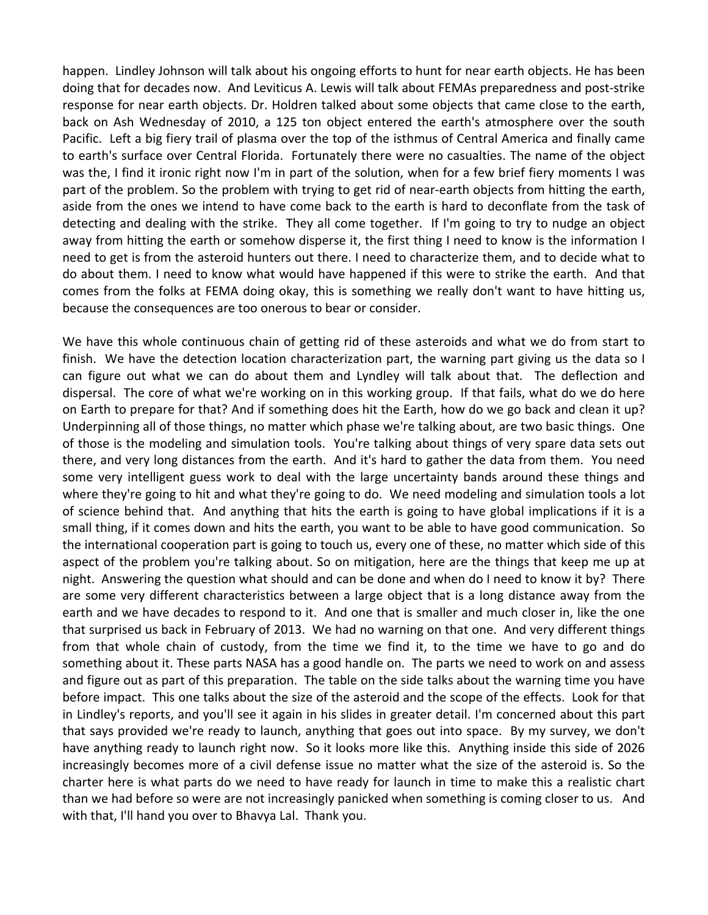happen. Lindley Johnson will talk about his ongoing efforts to hunt for near earth objects. He has been doing that for decades now. And Leviticus A. Lewis will talk about FEMAs preparedness and post‐strike response for near earth objects. Dr. Holdren talked about some objects that came close to the earth, back on Ash Wednesday of 2010, a 125 ton object entered the earth's atmosphere over the south Pacific. Left a big fiery trail of plasma over the top of the isthmus of Central America and finally came to earth's surface over Central Florida. Fortunately there were no casualties. The name of the object was the, I find it ironic right now I'm in part of the solution, when for a few brief fiery moments I was part of the problem. So the problem with trying to get rid of near-earth objects from hitting the earth, aside from the ones we intend to have come back to the earth is hard to deconflate from the task of detecting and dealing with the strike. They all come together. If I'm going to try to nudge an object away from hitting the earth or somehow disperse it, the first thing I need to know is the information I need to get is from the asteroid hunters out there. I need to characterize them, and to decide what to do about them. I need to know what would have happened if this were to strike the earth. And that comes from the folks at FEMA doing okay, this is something we really don't want to have hitting us, because the consequences are too onerous to bear or consider.

We have this whole continuous chain of getting rid of these asteroids and what we do from start to finish. We have the detection location characterization part, the warning part giving us the data so I can figure out what we can do about them and Lyndley will talk about that. The deflection and dispersal. The core of what we're working on in this working group. If that fails, what do we do here on Earth to prepare for that? And if something does hit the Earth, how do we go back and clean it up? Underpinning all of those things, no matter which phase we're talking about, are two basic things. One of those is the modeling and simulation tools. You're talking about things of very spare data sets out there, and very long distances from the earth. And it's hard to gather the data from them. You need some very intelligent guess work to deal with the large uncertainty bands around these things and where they're going to hit and what they're going to do. We need modeling and simulation tools a lot of science behind that. And anything that hits the earth is going to have global implications if it is a small thing, if it comes down and hits the earth, you want to be able to have good communication. So the international cooperation part is going to touch us, every one of these, no matter which side of this aspect of the problem you're talking about. So on mitigation, here are the things that keep me up at night. Answering the question what should and can be done and when do I need to know it by? There are some very different characteristics between a large object that is a long distance away from the earth and we have decades to respond to it. And one that is smaller and much closer in, like the one that surprised us back in February of 2013. We had no warning on that one. And very different things from that whole chain of custody, from the time we find it, to the time we have to go and do something about it. These parts NASA has a good handle on. The parts we need to work on and assess and figure out as part of this preparation. The table on the side talks about the warning time you have before impact. This one talks about the size of the asteroid and the scope of the effects. Look for that in Lindley's reports, and you'll see it again in his slides in greater detail. I'm concerned about this part that says provided we're ready to launch, anything that goes out into space. By my survey, we don't have anything ready to launch right now. So it looks more like this. Anything inside this side of 2026 increasingly becomes more of a civil defense issue no matter what the size of the asteroid is. So the charter here is what parts do we need to have ready for launch in time to make this a realistic chart than we had before so were are not increasingly panicked when something is coming closer to us. And with that, I'll hand you over to Bhavya Lal. Thank you.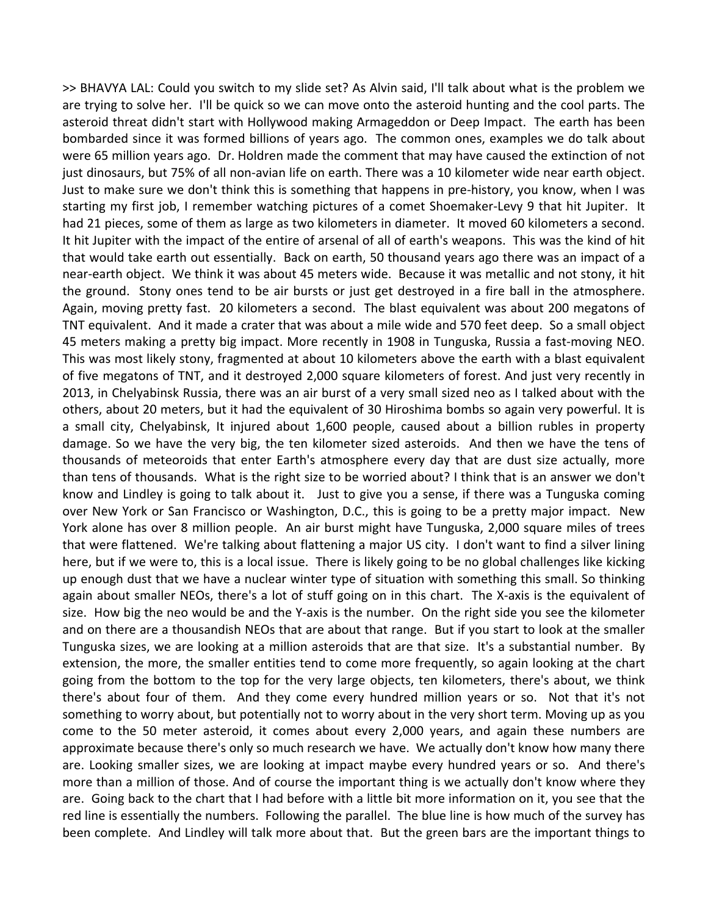>> BHAVYA LAL: Could you switch to my slide set? As Alvin said, I'll talk about what is the problem we are trying to solve her. I'll be quick so we can move onto the asteroid hunting and the cool parts. The asteroid threat didn't start with Hollywood making Armageddon or Deep Impact. The earth has been bombarded since it was formed billions of years ago. The common ones, examples we do talk about were 65 million years ago. Dr. Holdren made the comment that may have caused the extinction of not just dinosaurs, but 75% of all non‐avian life on earth. There was a 10 kilometer wide near earth object. Just to make sure we don't think this is something that happens in pre‐history, you know, when I was starting my first job, I remember watching pictures of a comet Shoemaker‐Levy 9 that hit Jupiter. It had 21 pieces, some of them as large as two kilometers in diameter. It moved 60 kilometers a second. It hit Jupiter with the impact of the entire of arsenal of all of earth's weapons. This was the kind of hit that would take earth out essentially. Back on earth, 50 thousand years ago there was an impact of a near-earth object. We think it was about 45 meters wide. Because it was metallic and not stony, it hit the ground. Stony ones tend to be air bursts or just get destroyed in a fire ball in the atmosphere. Again, moving pretty fast. 20 kilometers a second. The blast equivalent was about 200 megatons of TNT equivalent. And it made a crater that was about a mile wide and 570 feet deep. So a small object 45 meters making a pretty big impact. More recently in 1908 in Tunguska, Russia a fast-moving NEO. This was most likely stony, fragmented at about 10 kilometers above the earth with a blast equivalent of five megatons of TNT, and it destroyed 2,000 square kilometers of forest. And just very recently in 2013, in Chelyabinsk Russia, there was an air burst of a very small sized neo as I talked about with the others, about 20 meters, but it had the equivalent of 30 Hiroshima bombs so again very powerful. It is a small city, Chelyabinsk, It injured about 1,600 people, caused about a billion rubles in property damage. So we have the very big, the ten kilometer sized asteroids. And then we have the tens of thousands of meteoroids that enter Earth's atmosphere every day that are dust size actually, more than tens of thousands. What is the right size to be worried about? I think that is an answer we don't know and Lindley is going to talk about it. Just to give you a sense, if there was a Tunguska coming over New York or San Francisco or Washington, D.C., this is going to be a pretty major impact. New York alone has over 8 million people. An air burst might have Tunguska, 2,000 square miles of trees that were flattened. We're talking about flattening a major US city. I don't want to find a silver lining here, but if we were to, this is a local issue. There is likely going to be no global challenges like kicking up enough dust that we have a nuclear winter type of situation with something this small. So thinking again about smaller NEOs, there's a lot of stuff going on in this chart. The X‐axis is the equivalent of size. How big the neo would be and the Y‐axis is the number. On the right side you see the kilometer and on there are a thousandish NEOs that are about that range. But if you start to look at the smaller Tunguska sizes, we are looking at a million asteroids that are that size. It's a substantial number. By extension, the more, the smaller entities tend to come more frequently, so again looking at the chart going from the bottom to the top for the very large objects, ten kilometers, there's about, we think there's about four of them. And they come every hundred million years or so. Not that it's not something to worry about, but potentially not to worry about in the very short term. Moving up as you come to the 50 meter asteroid, it comes about every 2,000 years, and again these numbers are approximate because there's only so much research we have. We actually don't know how many there are. Looking smaller sizes, we are looking at impact maybe every hundred years or so. And there's more than a million of those. And of course the important thing is we actually don't know where they are. Going back to the chart that I had before with a little bit more information on it, you see that the red line is essentially the numbers. Following the parallel. The blue line is how much of the survey has been complete. And Lindley will talk more about that. But the green bars are the important things to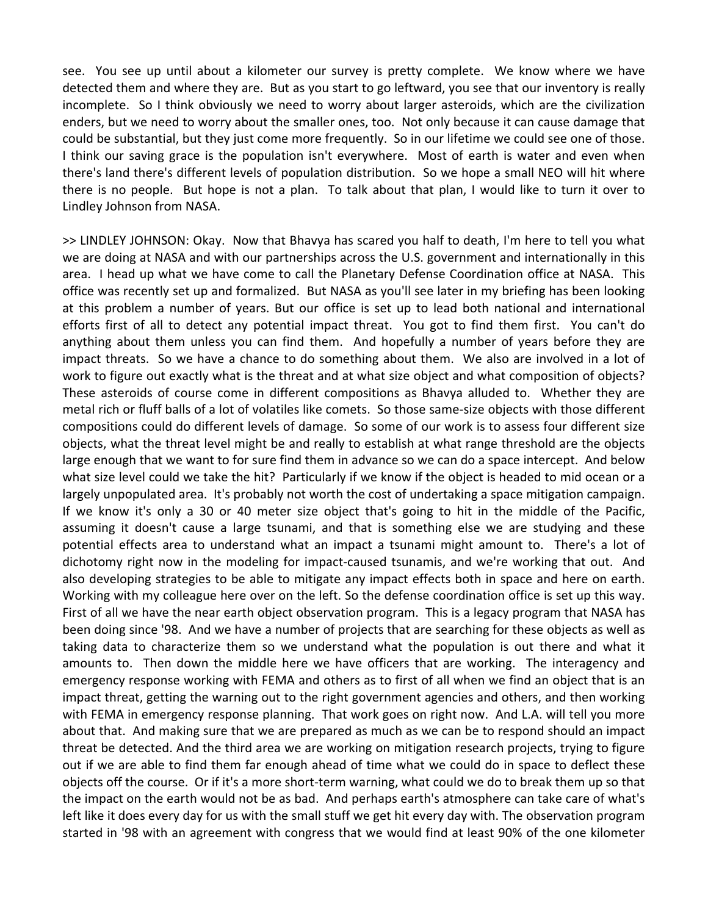see. You see up until about a kilometer our survey is pretty complete. We know where we have detected them and where they are. But as you start to go leftward, you see that our inventory is really incomplete. So I think obviously we need to worry about larger asteroids, which are the civilization enders, but we need to worry about the smaller ones, too. Not only because it can cause damage that could be substantial, but they just come more frequently. So in our lifetime we could see one of those. I think our saving grace is the population isn't everywhere. Most of earth is water and even when there's land there's different levels of population distribution. So we hope a small NEO will hit where there is no people. But hope is not a plan. To talk about that plan, I would like to turn it over to Lindley Johnson from NASA.

>> LINDLEY JOHNSON: Okay. Now that Bhavya has scared you half to death, I'm here to tell you what we are doing at NASA and with our partnerships across the U.S. government and internationally in this area. I head up what we have come to call the Planetary Defense Coordination office at NASA. This office was recently set up and formalized. But NASA as you'll see later in my briefing has been looking at this problem a number of years. But our office is set up to lead both national and international efforts first of all to detect any potential impact threat. You got to find them first. You can't do anything about them unless you can find them. And hopefully a number of years before they are impact threats. So we have a chance to do something about them. We also are involved in a lot of work to figure out exactly what is the threat and at what size object and what composition of objects? These asteroids of course come in different compositions as Bhavya alluded to. Whether they are metal rich or fluff balls of a lot of volatiles like comets. So those same‐size objects with those different compositions could do different levels of damage. So some of our work is to assess four different size objects, what the threat level might be and really to establish at what range threshold are the objects large enough that we want to for sure find them in advance so we can do a space intercept. And below what size level could we take the hit? Particularly if we know if the object is headed to mid ocean or a largely unpopulated area. It's probably not worth the cost of undertaking a space mitigation campaign. If we know it's only a 30 or 40 meter size object that's going to hit in the middle of the Pacific, assuming it doesn't cause a large tsunami, and that is something else we are studying and these potential effects area to understand what an impact a tsunami might amount to. There's a lot of dichotomy right now in the modeling for impact‐caused tsunamis, and we're working that out. And also developing strategies to be able to mitigate any impact effects both in space and here on earth. Working with my colleague here over on the left. So the defense coordination office is set up this way. First of all we have the near earth object observation program. This is a legacy program that NASA has been doing since '98. And we have a number of projects that are searching for these objects as well as taking data to characterize them so we understand what the population is out there and what it amounts to. Then down the middle here we have officers that are working. The interagency and emergency response working with FEMA and others as to first of all when we find an object that is an impact threat, getting the warning out to the right government agencies and others, and then working with FEMA in emergency response planning. That work goes on right now. And L.A. will tell you more about that. And making sure that we are prepared as much as we can be to respond should an impact threat be detected. And the third area we are working on mitigation research projects, trying to figure out if we are able to find them far enough ahead of time what we could do in space to deflect these objects off the course. Or if it's a more short‐term warning, what could we do to break them up so that the impact on the earth would not be as bad. And perhaps earth's atmosphere can take care of what's left like it does every day for us with the small stuff we get hit every day with. The observation program started in '98 with an agreement with congress that we would find at least 90% of the one kilometer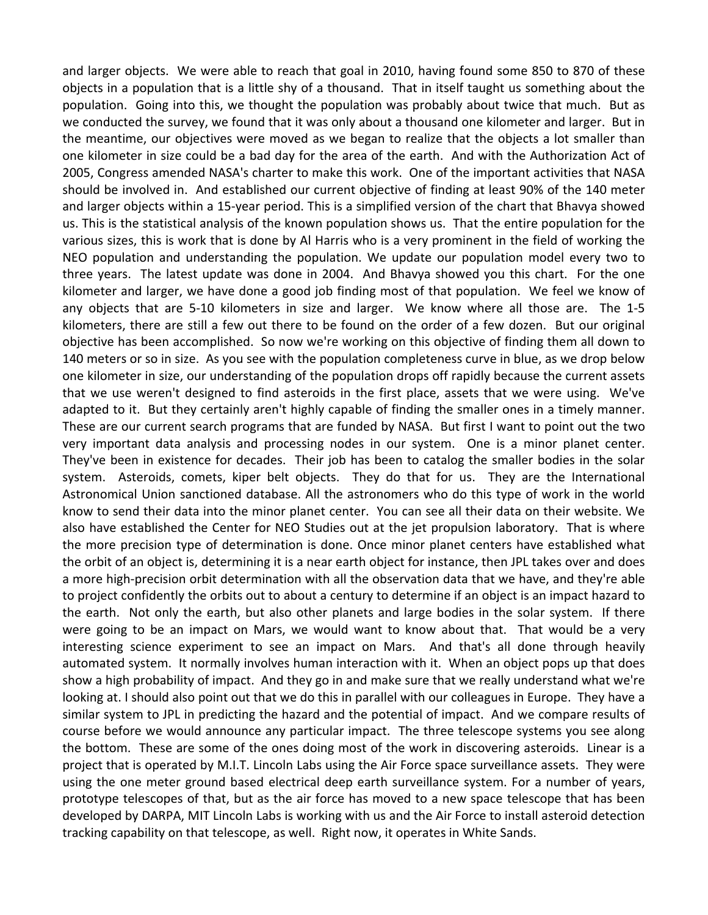and larger objects. We were able to reach that goal in 2010, having found some 850 to 870 of these objects in a population that is a little shy of a thousand. That in itself taught us something about the population. Going into this, we thought the population was probably about twice that much. But as we conducted the survey, we found that it was only about a thousand one kilometer and larger. But in the meantime, our objectives were moved as we began to realize that the objects a lot smaller than one kilometer in size could be a bad day for the area of the earth. And with the Authorization Act of 2005, Congress amended NASA's charter to make this work. One of the important activities that NASA should be involved in. And established our current objective of finding at least 90% of the 140 meter and larger objects within a 15‐year period. This is a simplified version of the chart that Bhavya showed us. This is the statistical analysis of the known population shows us. That the entire population for the various sizes, this is work that is done by Al Harris who is a very prominent in the field of working the NEO population and understanding the population. We update our population model every two to three years. The latest update was done in 2004. And Bhavya showed you this chart. For the one kilometer and larger, we have done a good job finding most of that population. We feel we know of any objects that are 5-10 kilometers in size and larger. We know where all those are. The 1-5 kilometers, there are still a few out there to be found on the order of a few dozen. But our original objective has been accomplished. So now we're working on this objective of finding them all down to 140 meters or so in size. As you see with the population completeness curve in blue, as we drop below one kilometer in size, our understanding of the population drops off rapidly because the current assets that we use weren't designed to find asteroids in the first place, assets that we were using. We've adapted to it. But they certainly aren't highly capable of finding the smaller ones in a timely manner. These are our current search programs that are funded by NASA. But first I want to point out the two very important data analysis and processing nodes in our system. One is a minor planet center. They've been in existence for decades. Their job has been to catalog the smaller bodies in the solar system. Asteroids, comets, kiper belt objects. They do that for us. They are the International Astronomical Union sanctioned database. All the astronomers who do this type of work in the world know to send their data into the minor planet center. You can see all their data on their website. We also have established the Center for NEO Studies out at the jet propulsion laboratory. That is where the more precision type of determination is done. Once minor planet centers have established what the orbit of an object is, determining it is a near earth object for instance, then JPL takes over and does a more high-precision orbit determination with all the observation data that we have, and they're able to project confidently the orbits out to about a century to determine if an object is an impact hazard to the earth. Not only the earth, but also other planets and large bodies in the solar system. If there were going to be an impact on Mars, we would want to know about that. That would be a very interesting science experiment to see an impact on Mars. And that's all done through heavily automated system. It normally involves human interaction with it. When an object pops up that does show a high probability of impact. And they go in and make sure that we really understand what we're looking at. I should also point out that we do this in parallel with our colleagues in Europe. They have a similar system to JPL in predicting the hazard and the potential of impact. And we compare results of course before we would announce any particular impact. The three telescope systems you see along the bottom. These are some of the ones doing most of the work in discovering asteroids. Linear is a project that is operated by M.I.T. Lincoln Labs using the Air Force space surveillance assets. They were using the one meter ground based electrical deep earth surveillance system. For a number of years, prototype telescopes of that, but as the air force has moved to a new space telescope that has been developed by DARPA, MIT Lincoln Labs is working with us and the Air Force to install asteroid detection tracking capability on that telescope, as well. Right now, it operates in White Sands.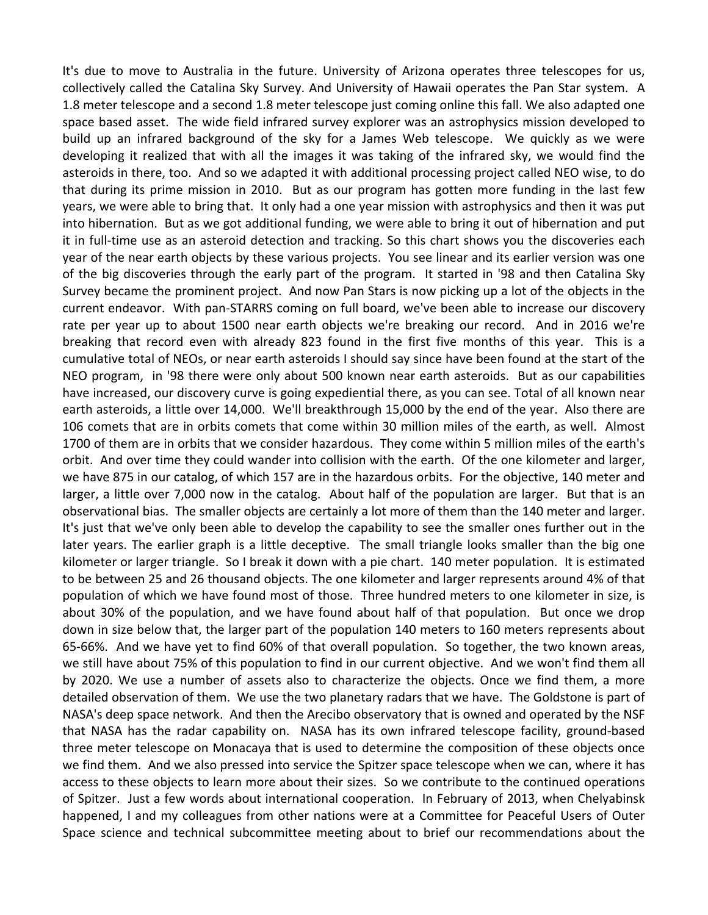It's due to move to Australia in the future. University of Arizona operates three telescopes for us, collectively called the Catalina Sky Survey. And University of Hawaii operates the Pan Star system. A 1.8 meter telescope and a second 1.8 meter telescope just coming online this fall. We also adapted one space based asset. The wide field infrared survey explorer was an astrophysics mission developed to build up an infrared background of the sky for a James Web telescope. We quickly as we were developing it realized that with all the images it was taking of the infrared sky, we would find the asteroids in there, too. And so we adapted it with additional processing project called NEO wise, to do that during its prime mission in 2010. But as our program has gotten more funding in the last few years, we were able to bring that. It only had a one year mission with astrophysics and then it was put into hibernation. But as we got additional funding, we were able to bring it out of hibernation and put it in full‐time use as an asteroid detection and tracking. So this chart shows you the discoveries each year of the near earth objects by these various projects. You see linear and its earlier version was one of the big discoveries through the early part of the program. It started in '98 and then Catalina Sky Survey became the prominent project. And now Pan Stars is now picking up a lot of the objects in the current endeavor. With pan‐STARRS coming on full board, we've been able to increase our discovery rate per year up to about 1500 near earth objects we're breaking our record. And in 2016 we're breaking that record even with already 823 found in the first five months of this year. This is a cumulative total of NEOs, or near earth asteroids I should say since have been found at the start of the NEO program, in '98 there were only about 500 known near earth asteroids. But as our capabilities have increased, our discovery curve is going expediential there, as you can see. Total of all known near earth asteroids, a little over 14,000. We'll breakthrough 15,000 by the end of the year. Also there are 106 comets that are in orbits comets that come within 30 million miles of the earth, as well. Almost 1700 of them are in orbits that we consider hazardous. They come within 5 million miles of the earth's orbit. And over time they could wander into collision with the earth. Of the one kilometer and larger, we have 875 in our catalog, of which 157 are in the hazardous orbits. For the objective, 140 meter and larger, a little over 7,000 now in the catalog. About half of the population are larger. But that is an observational bias. The smaller objects are certainly a lot more of them than the 140 meter and larger. It's just that we've only been able to develop the capability to see the smaller ones further out in the later years. The earlier graph is a little deceptive. The small triangle looks smaller than the big one kilometer or larger triangle. So I break it down with a pie chart. 140 meter population. It is estimated to be between 25 and 26 thousand objects. The one kilometer and larger represents around 4% of that population of which we have found most of those. Three hundred meters to one kilometer in size, is about 30% of the population, and we have found about half of that population. But once we drop down in size below that, the larger part of the population 140 meters to 160 meters represents about 65‐66%. And we have yet to find 60% of that overall population. So together, the two known areas, we still have about 75% of this population to find in our current objective. And we won't find them all by 2020. We use a number of assets also to characterize the objects. Once we find them, a more detailed observation of them. We use the two planetary radars that we have. The Goldstone is part of NASA's deep space network. And then the Arecibo observatory that is owned and operated by the NSF that NASA has the radar capability on. NASA has its own infrared telescope facility, ground‐based three meter telescope on Monacaya that is used to determine the composition of these objects once we find them. And we also pressed into service the Spitzer space telescope when we can, where it has access to these objects to learn more about their sizes. So we contribute to the continued operations of Spitzer. Just a few words about international cooperation. In February of 2013, when Chelyabinsk happened, I and my colleagues from other nations were at a Committee for Peaceful Users of Outer Space science and technical subcommittee meeting about to brief our recommendations about the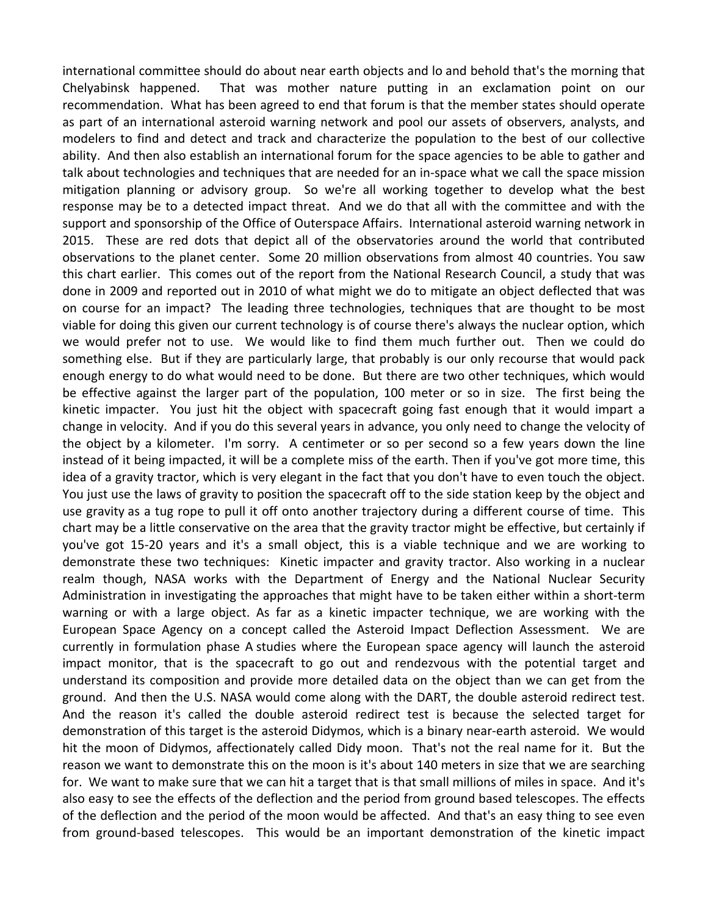international committee should do about near earth objects and lo and behold that's the morning that Chelyabinsk happened. That was mother nature putting in an exclamation point on our recommendation. What has been agreed to end that forum is that the member states should operate as part of an international asteroid warning network and pool our assets of observers, analysts, and modelers to find and detect and track and characterize the population to the best of our collective ability. And then also establish an international forum for the space agencies to be able to gather and talk about technologies and techniques that are needed for an in‐space what we call the space mission mitigation planning or advisory group. So we're all working together to develop what the best response may be to a detected impact threat. And we do that all with the committee and with the support and sponsorship of the Office of Outerspace Affairs. International asteroid warning network in 2015. These are red dots that depict all of the observatories around the world that contributed observations to the planet center. Some 20 million observations from almost 40 countries. You saw this chart earlier. This comes out of the report from the National Research Council, a study that was done in 2009 and reported out in 2010 of what might we do to mitigate an object deflected that was on course for an impact? The leading three technologies, techniques that are thought to be most viable for doing this given our current technology is of course there's always the nuclear option, which we would prefer not to use. We would like to find them much further out. Then we could do something else. But if they are particularly large, that probably is our only recourse that would pack enough energy to do what would need to be done. But there are two other techniques, which would be effective against the larger part of the population, 100 meter or so in size. The first being the kinetic impacter. You just hit the object with spacecraft going fast enough that it would impart a change in velocity. And if you do this several years in advance, you only need to change the velocity of the object by a kilometer. I'm sorry. A centimeter or so per second so a few years down the line instead of it being impacted, it will be a complete miss of the earth. Then if you've got more time, this idea of a gravity tractor, which is very elegant in the fact that you don't have to even touch the object. You just use the laws of gravity to position the spacecraft off to the side station keep by the object and use gravity as a tug rope to pull it off onto another trajectory during a different course of time. This chart may be a little conservative on the area that the gravity tractor might be effective, but certainly if you've got 15‐20 years and it's a small object, this is a viable technique and we are working to demonstrate these two techniques: Kinetic impacter and gravity tractor. Also working in a nuclear realm though, NASA works with the Department of Energy and the National Nuclear Security Administration in investigating the approaches that might have to be taken either within a short‐term warning or with a large object. As far as a kinetic impacter technique, we are working with the European Space Agency on a concept called the Asteroid Impact Deflection Assessment. We are currently in formulation phase A studies where the European space agency will launch the asteroid impact monitor, that is the spacecraft to go out and rendezvous with the potential target and understand its composition and provide more detailed data on the object than we can get from the ground. And then the U.S. NASA would come along with the DART, the double asteroid redirect test. And the reason it's called the double asteroid redirect test is because the selected target for demonstration of this target is the asteroid Didymos, which is a binary near‐earth asteroid. We would hit the moon of Didymos, affectionately called Didy moon. That's not the real name for it. But the reason we want to demonstrate this on the moon is it's about 140 meters in size that we are searching for. We want to make sure that we can hit a target that is that small millions of miles in space. And it's also easy to see the effects of the deflection and the period from ground based telescopes. The effects of the deflection and the period of the moon would be affected. And that's an easy thing to see even from ground-based telescopes. This would be an important demonstration of the kinetic impact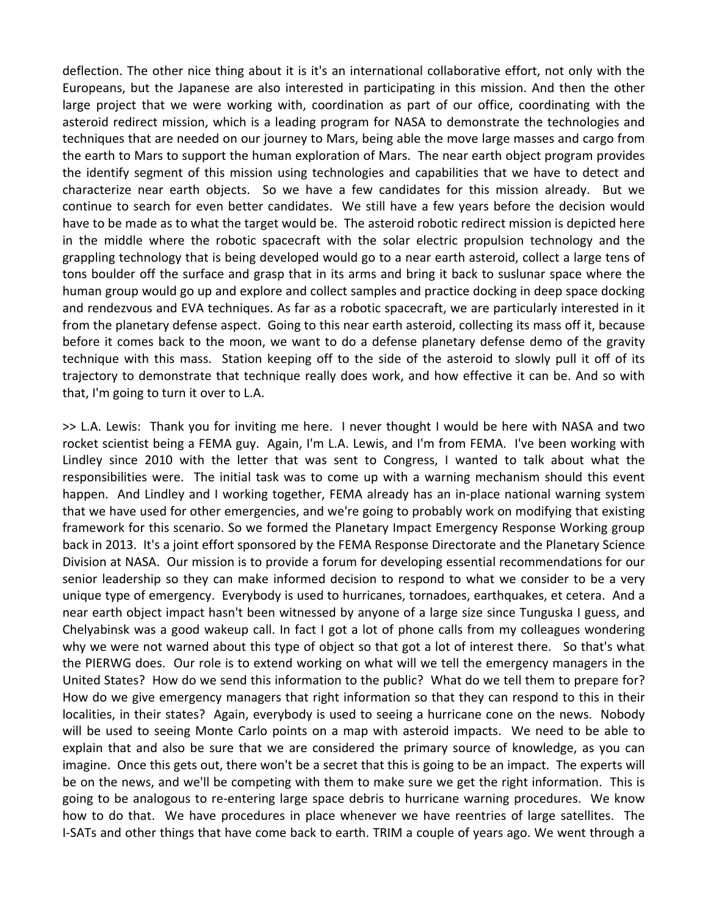deflection. The other nice thing about it is it's an international collaborative effort, not only with the Europeans, but the Japanese are also interested in participating in this mission. And then the other large project that we were working with, coordination as part of our office, coordinating with the asteroid redirect mission, which is a leading program for NASA to demonstrate the technologies and techniques that are needed on our journey to Mars, being able the move large masses and cargo from the earth to Mars to support the human exploration of Mars. The near earth object program provides the identify segment of this mission using technologies and capabilities that we have to detect and characterize near earth objects. So we have a few candidates for this mission already. But we continue to search for even better candidates. We still have a few years before the decision would have to be made as to what the target would be. The asteroid robotic redirect mission is depicted here in the middle where the robotic spacecraft with the solar electric propulsion technology and the grappling technology that is being developed would go to a near earth asteroid, collect a large tens of tons boulder off the surface and grasp that in its arms and bring it back to suslunar space where the human group would go up and explore and collect samples and practice docking in deep space docking and rendezvous and EVA techniques. As far as a robotic spacecraft, we are particularly interested in it from the planetary defense aspect. Going to this near earth asteroid, collecting its mass off it, because before it comes back to the moon, we want to do a defense planetary defense demo of the gravity technique with this mass. Station keeping off to the side of the asteroid to slowly pull it off of its trajectory to demonstrate that technique really does work, and how effective it can be. And so with that, I'm going to turn it over to L.A.

>> L.A. Lewis: Thank you for inviting me here. I never thought I would be here with NASA and two rocket scientist being a FEMA guy. Again, I'm L.A. Lewis, and I'm from FEMA. I've been working with Lindley since 2010 with the letter that was sent to Congress, I wanted to talk about what the responsibilities were. The initial task was to come up with a warning mechanism should this event happen. And Lindley and I working together, FEMA already has an in-place national warning system that we have used for other emergencies, and we're going to probably work on modifying that existing framework for this scenario. So we formed the Planetary Impact Emergency Response Working group back in 2013. It's a joint effort sponsored by the FEMA Response Directorate and the Planetary Science Division at NASA. Our mission is to provide a forum for developing essential recommendations for our senior leadership so they can make informed decision to respond to what we consider to be a very unique type of emergency. Everybody is used to hurricanes, tornadoes, earthquakes, et cetera. And a near earth object impact hasn't been witnessed by anyone of a large size since Tunguska I guess, and Chelyabinsk was a good wakeup call. In fact I got a lot of phone calls from my colleagues wondering why we were not warned about this type of object so that got a lot of interest there. So that's what the PIERWG does. Our role is to extend working on what will we tell the emergency managers in the United States? How do we send this information to the public? What do we tell them to prepare for? How do we give emergency managers that right information so that they can respond to this in their localities, in their states? Again, everybody is used to seeing a hurricane cone on the news. Nobody will be used to seeing Monte Carlo points on a map with asteroid impacts. We need to be able to explain that and also be sure that we are considered the primary source of knowledge, as you can imagine. Once this gets out, there won't be a secret that this is going to be an impact. The experts will be on the news, and we'll be competing with them to make sure we get the right information. This is going to be analogous to re‐entering large space debris to hurricane warning procedures. We know how to do that. We have procedures in place whenever we have reentries of large satellites. The I‐SATs and other things that have come back to earth. TRIM a couple of years ago. We went through a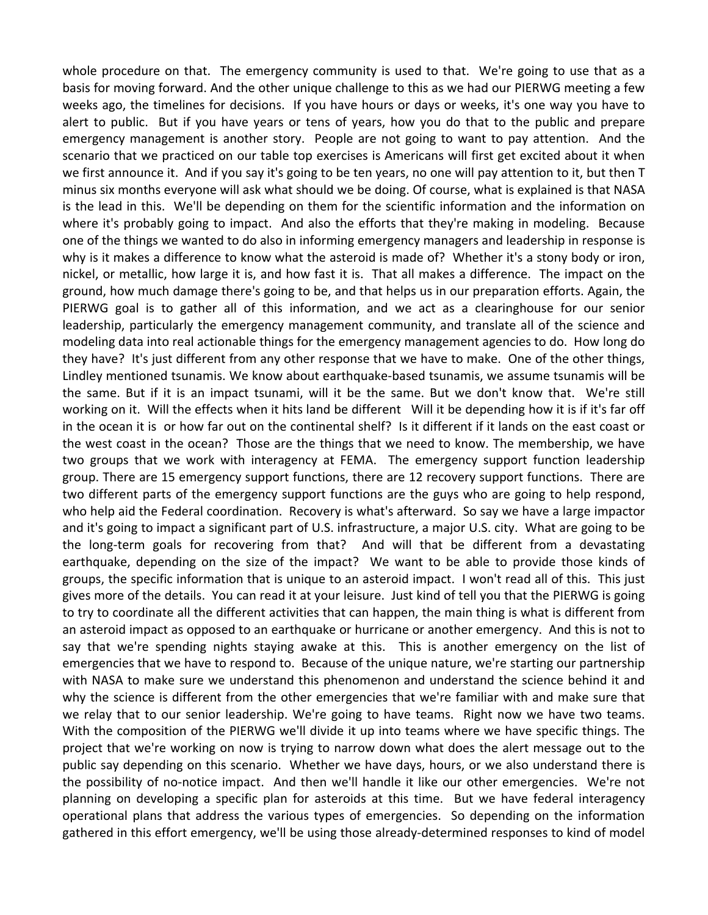whole procedure on that. The emergency community is used to that. We're going to use that as a basis for moving forward. And the other unique challenge to this as we had our PIERWG meeting a few weeks ago, the timelines for decisions. If you have hours or days or weeks, it's one way you have to alert to public. But if you have years or tens of years, how you do that to the public and prepare emergency management is another story. People are not going to want to pay attention. And the scenario that we practiced on our table top exercises is Americans will first get excited about it when we first announce it. And if you say it's going to be ten years, no one will pay attention to it, but then T minus six months everyone will ask what should we be doing. Of course, what is explained is that NASA is the lead in this. We'll be depending on them for the scientific information and the information on where it's probably going to impact. And also the efforts that they're making in modeling. Because one of the things we wanted to do also in informing emergency managers and leadership in response is why is it makes a difference to know what the asteroid is made of? Whether it's a stony body or iron, nickel, or metallic, how large it is, and how fast it is. That all makes a difference. The impact on the ground, how much damage there's going to be, and that helps us in our preparation efforts. Again, the PIERWG goal is to gather all of this information, and we act as a clearinghouse for our senior leadership, particularly the emergency management community, and translate all of the science and modeling data into real actionable things for the emergency management agencies to do. How long do they have? It's just different from any other response that we have to make. One of the other things, Lindley mentioned tsunamis. We know about earthquake‐based tsunamis, we assume tsunamis will be the same. But if it is an impact tsunami, will it be the same. But we don't know that. We're still working on it. Will the effects when it hits land be different Will it be depending how it is if it's far off in the ocean it is or how far out on the continental shelf? Is it different if it lands on the east coast or the west coast in the ocean? Those are the things that we need to know. The membership, we have two groups that we work with interagency at FEMA. The emergency support function leadership group. There are 15 emergency support functions, there are 12 recovery support functions. There are two different parts of the emergency support functions are the guys who are going to help respond, who help aid the Federal coordination. Recovery is what's afterward. So say we have a large impactor and it's going to impact a significant part of U.S. infrastructure, a major U.S. city. What are going to be the long-term goals for recovering from that? And will that be different from a devastating earthquake, depending on the size of the impact? We want to be able to provide those kinds of groups, the specific information that is unique to an asteroid impact. I won't read all of this. This just gives more of the details. You can read it at your leisure. Just kind of tell you that the PIERWG is going to try to coordinate all the different activities that can happen, the main thing is what is different from an asteroid impact as opposed to an earthquake or hurricane or another emergency. And this is not to say that we're spending nights staying awake at this. This is another emergency on the list of emergencies that we have to respond to. Because of the unique nature, we're starting our partnership with NASA to make sure we understand this phenomenon and understand the science behind it and why the science is different from the other emergencies that we're familiar with and make sure that we relay that to our senior leadership. We're going to have teams. Right now we have two teams. With the composition of the PIERWG we'll divide it up into teams where we have specific things. The project that we're working on now is trying to narrow down what does the alert message out to the public say depending on this scenario. Whether we have days, hours, or we also understand there is the possibility of no‐notice impact. And then we'll handle it like our other emergencies. We're not planning on developing a specific plan for asteroids at this time. But we have federal interagency operational plans that address the various types of emergencies. So depending on the information gathered in this effort emergency, we'll be using those already‐determined responses to kind of model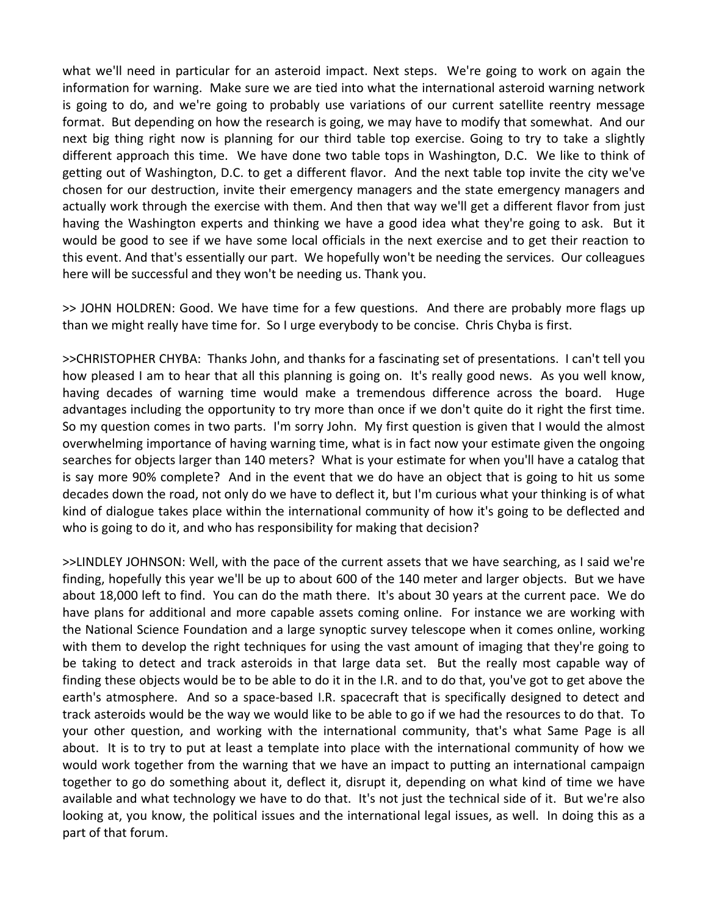what we'll need in particular for an asteroid impact. Next steps. We're going to work on again the information for warning. Make sure we are tied into what the international asteroid warning network is going to do, and we're going to probably use variations of our current satellite reentry message format. But depending on how the research is going, we may have to modify that somewhat. And our next big thing right now is planning for our third table top exercise. Going to try to take a slightly different approach this time. We have done two table tops in Washington, D.C. We like to think of getting out of Washington, D.C. to get a different flavor. And the next table top invite the city we've chosen for our destruction, invite their emergency managers and the state emergency managers and actually work through the exercise with them. And then that way we'll get a different flavor from just having the Washington experts and thinking we have a good idea what they're going to ask. But it would be good to see if we have some local officials in the next exercise and to get their reaction to this event. And that's essentially our part. We hopefully won't be needing the services. Our colleagues here will be successful and they won't be needing us. Thank you.

>> JOHN HOLDREN: Good. We have time for a few questions. And there are probably more flags up than we might really have time for. So I urge everybody to be concise. Chris Chyba is first.

>>CHRISTOPHER CHYBA: Thanks John, and thanks for a fascinating set of presentations. I can't tell you how pleased I am to hear that all this planning is going on. It's really good news. As you well know, having decades of warning time would make a tremendous difference across the board. Huge advantages including the opportunity to try more than once if we don't quite do it right the first time. So my question comes in two parts. I'm sorry John. My first question is given that I would the almost overwhelming importance of having warning time, what is in fact now your estimate given the ongoing searches for objects larger than 140 meters? What is your estimate for when you'll have a catalog that is say more 90% complete? And in the event that we do have an object that is going to hit us some decades down the road, not only do we have to deflect it, but I'm curious what your thinking is of what kind of dialogue takes place within the international community of how it's going to be deflected and who is going to do it, and who has responsibility for making that decision?

>>LINDLEY JOHNSON: Well, with the pace of the current assets that we have searching, as I said we're finding, hopefully this year we'll be up to about 600 of the 140 meter and larger objects. But we have about 18,000 left to find. You can do the math there. It's about 30 years at the current pace. We do have plans for additional and more capable assets coming online. For instance we are working with the National Science Foundation and a large synoptic survey telescope when it comes online, working with them to develop the right techniques for using the vast amount of imaging that they're going to be taking to detect and track asteroids in that large data set. But the really most capable way of finding these objects would be to be able to do it in the I.R. and to do that, you've got to get above the earth's atmosphere. And so a space‐based I.R. spacecraft that is specifically designed to detect and track asteroids would be the way we would like to be able to go if we had the resources to do that. To your other question, and working with the international community, that's what Same Page is all about. It is to try to put at least a template into place with the international community of how we would work together from the warning that we have an impact to putting an international campaign together to go do something about it, deflect it, disrupt it, depending on what kind of time we have available and what technology we have to do that. It's not just the technical side of it. But we're also looking at, you know, the political issues and the international legal issues, as well. In doing this as a part of that forum.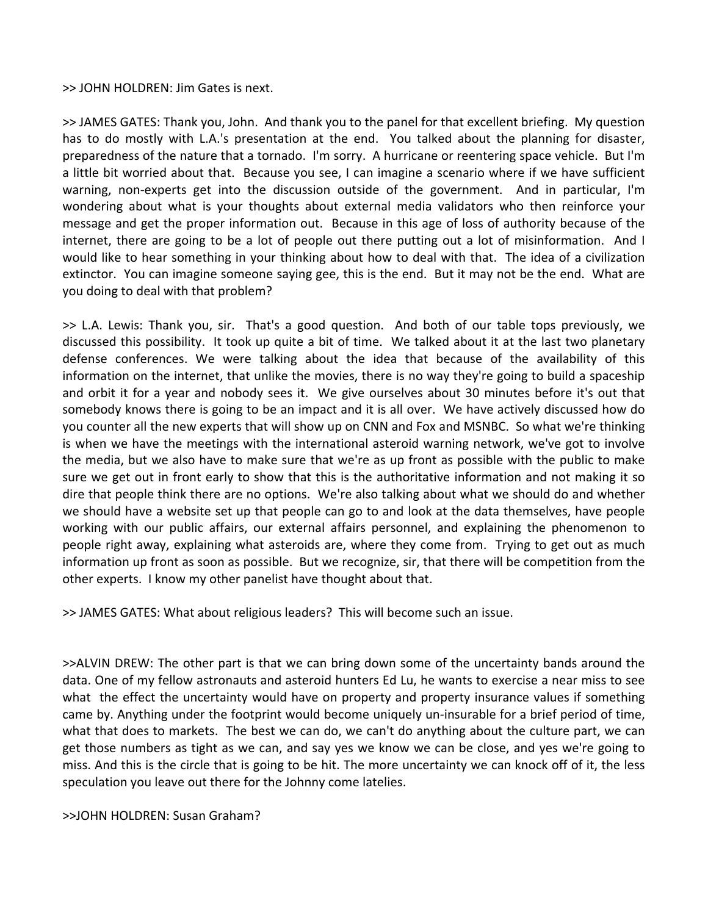>> JOHN HOLDREN: Jim Gates is next.

>> JAMES GATES: Thank you, John. And thank you to the panel for that excellent briefing. My question has to do mostly with L.A.'s presentation at the end. You talked about the planning for disaster, preparedness of the nature that a tornado. I'm sorry. A hurricane or reentering space vehicle. But I'm a little bit worried about that. Because you see, I can imagine a scenario where if we have sufficient warning, non-experts get into the discussion outside of the government. And in particular, I'm wondering about what is your thoughts about external media validators who then reinforce your message and get the proper information out. Because in this age of loss of authority because of the internet, there are going to be a lot of people out there putting out a lot of misinformation. And I would like to hear something in your thinking about how to deal with that. The idea of a civilization extinctor. You can imagine someone saying gee, this is the end. But it may not be the end. What are you doing to deal with that problem?

>> L.A. Lewis: Thank you, sir. That's a good question. And both of our table tops previously, we discussed this possibility. It took up quite a bit of time. We talked about it at the last two planetary defense conferences. We were talking about the idea that because of the availability of this information on the internet, that unlike the movies, there is no way they're going to build a spaceship and orbit it for a year and nobody sees it. We give ourselves about 30 minutes before it's out that somebody knows there is going to be an impact and it is all over. We have actively discussed how do you counter all the new experts that will show up on CNN and Fox and MSNBC. So what we're thinking is when we have the meetings with the international asteroid warning network, we've got to involve the media, but we also have to make sure that we're as up front as possible with the public to make sure we get out in front early to show that this is the authoritative information and not making it so dire that people think there are no options. We're also talking about what we should do and whether we should have a website set up that people can go to and look at the data themselves, have people working with our public affairs, our external affairs personnel, and explaining the phenomenon to people right away, explaining what asteroids are, where they come from. Trying to get out as much information up front as soon as possible. But we recognize, sir, that there will be competition from the other experts. I know my other panelist have thought about that.

>> JAMES GATES: What about religious leaders? This will become such an issue.

>>ALVIN DREW: The other part is that we can bring down some of the uncertainty bands around the data. One of my fellow astronauts and asteroid hunters Ed Lu, he wants to exercise a near miss to see what the effect the uncertainty would have on property and property insurance values if something came by. Anything under the footprint would become uniquely un-insurable for a brief period of time, what that does to markets. The best we can do, we can't do anything about the culture part, we can get those numbers as tight as we can, and say yes we know we can be close, and yes we're going to miss. And this is the circle that is going to be hit. The more uncertainty we can knock off of it, the less speculation you leave out there for the Johnny come latelies.

>>JOHN HOLDREN: Susan Graham?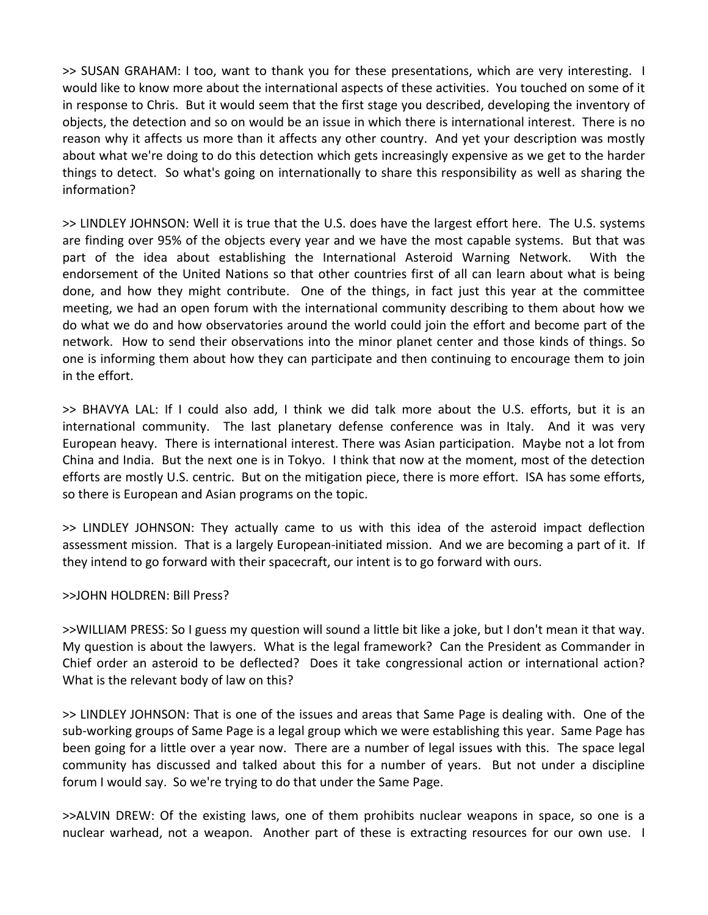>> SUSAN GRAHAM: I too, want to thank you for these presentations, which are very interesting. I would like to know more about the international aspects of these activities. You touched on some of it in response to Chris. But it would seem that the first stage you described, developing the inventory of objects, the detection and so on would be an issue in which there is international interest. There is no reason why it affects us more than it affects any other country. And yet your description was mostly about what we're doing to do this detection which gets increasingly expensive as we get to the harder things to detect. So what's going on internationally to share this responsibility as well as sharing the information?

>> LINDLEY JOHNSON: Well it is true that the U.S. does have the largest effort here. The U.S. systems are finding over 95% of the objects every year and we have the most capable systems. But that was part of the idea about establishing the International Asteroid Warning Network. With the endorsement of the United Nations so that other countries first of all can learn about what is being done, and how they might contribute. One of the things, in fact just this year at the committee meeting, we had an open forum with the international community describing to them about how we do what we do and how observatories around the world could join the effort and become part of the network. How to send their observations into the minor planet center and those kinds of things. So one is informing them about how they can participate and then continuing to encourage them to join in the effort.

>> BHAVYA LAL: If I could also add, I think we did talk more about the U.S. efforts, but it is an international community. The last planetary defense conference was in Italy. And it was very European heavy. There is international interest. There was Asian participation. Maybe not a lot from China and India. But the next one is in Tokyo. I think that now at the moment, most of the detection efforts are mostly U.S. centric. But on the mitigation piece, there is more effort. ISA has some efforts, so there is European and Asian programs on the topic.

>> LINDLEY JOHNSON: They actually came to us with this idea of the asteroid impact deflection assessment mission. That is a largely European‐initiated mission. And we are becoming a part of it. If they intend to go forward with their spacecraft, our intent is to go forward with ours.

#### >>JOHN HOLDREN: Bill Press?

>>WILLIAM PRESS: So I guess my question will sound a little bit like a joke, but I don't mean it that way. My question is about the lawyers. What is the legal framework? Can the President as Commander in Chief order an asteroid to be deflected? Does it take congressional action or international action? What is the relevant body of law on this?

>> LINDLEY JOHNSON: That is one of the issues and areas that Same Page is dealing with. One of the sub‐working groups of Same Page is a legal group which we were establishing this year. Same Page has been going for a little over a year now. There are a number of legal issues with this. The space legal community has discussed and talked about this for a number of years. But not under a discipline forum I would say. So we're trying to do that under the Same Page.

>>ALVIN DREW: Of the existing laws, one of them prohibits nuclear weapons in space, so one is a nuclear warhead, not a weapon. Another part of these is extracting resources for our own use. I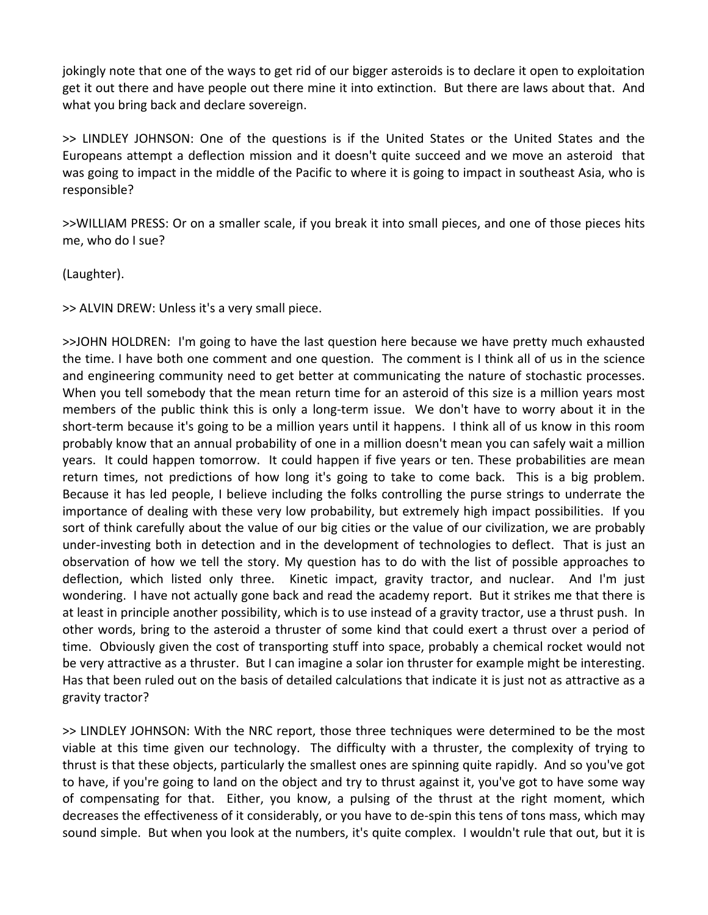jokingly note that one of the ways to get rid of our bigger asteroids is to declare it open to exploitation get it out there and have people out there mine it into extinction. But there are laws about that. And what you bring back and declare sovereign.

>> LINDLEY JOHNSON: One of the questions is if the United States or the United States and the Europeans attempt a deflection mission and it doesn't quite succeed and we move an asteroid that was going to impact in the middle of the Pacific to where it is going to impact in southeast Asia, who is responsible?

>>WILLIAM PRESS: Or on a smaller scale, if you break it into small pieces, and one of those pieces hits me, who do I sue?

(Laughter).

>> ALVIN DREW: Unless it's a very small piece.

>>JOHN HOLDREN: I'm going to have the last question here because we have pretty much exhausted the time. I have both one comment and one question. The comment is I think all of us in the science and engineering community need to get better at communicating the nature of stochastic processes. When you tell somebody that the mean return time for an asteroid of this size is a million years most members of the public think this is only a long-term issue. We don't have to worry about it in the short-term because it's going to be a million years until it happens. I think all of us know in this room probably know that an annual probability of one in a million doesn't mean you can safely wait a million years. It could happen tomorrow. It could happen if five years or ten. These probabilities are mean return times, not predictions of how long it's going to take to come back. This is a big problem. Because it has led people, I believe including the folks controlling the purse strings to underrate the importance of dealing with these very low probability, but extremely high impact possibilities. If you sort of think carefully about the value of our big cities or the value of our civilization, we are probably under‐investing both in detection and in the development of technologies to deflect. That is just an observation of how we tell the story. My question has to do with the list of possible approaches to deflection, which listed only three. Kinetic impact, gravity tractor, and nuclear. And I'm just wondering. I have not actually gone back and read the academy report. But it strikes me that there is at least in principle another possibility, which is to use instead of a gravity tractor, use a thrust push. In other words, bring to the asteroid a thruster of some kind that could exert a thrust over a period of time. Obviously given the cost of transporting stuff into space, probably a chemical rocket would not be very attractive as a thruster. But I can imagine a solar ion thruster for example might be interesting. Has that been ruled out on the basis of detailed calculations that indicate it is just not as attractive as a gravity tractor?

>> LINDLEY JOHNSON: With the NRC report, those three techniques were determined to be the most viable at this time given our technology. The difficulty with a thruster, the complexity of trying to thrust is that these objects, particularly the smallest ones are spinning quite rapidly. And so you've got to have, if you're going to land on the object and try to thrust against it, you've got to have some way of compensating for that. Either, you know, a pulsing of the thrust at the right moment, which decreases the effectiveness of it considerably, or you have to de‐spin this tens of tons mass, which may sound simple. But when you look at the numbers, it's quite complex. I wouldn't rule that out, but it is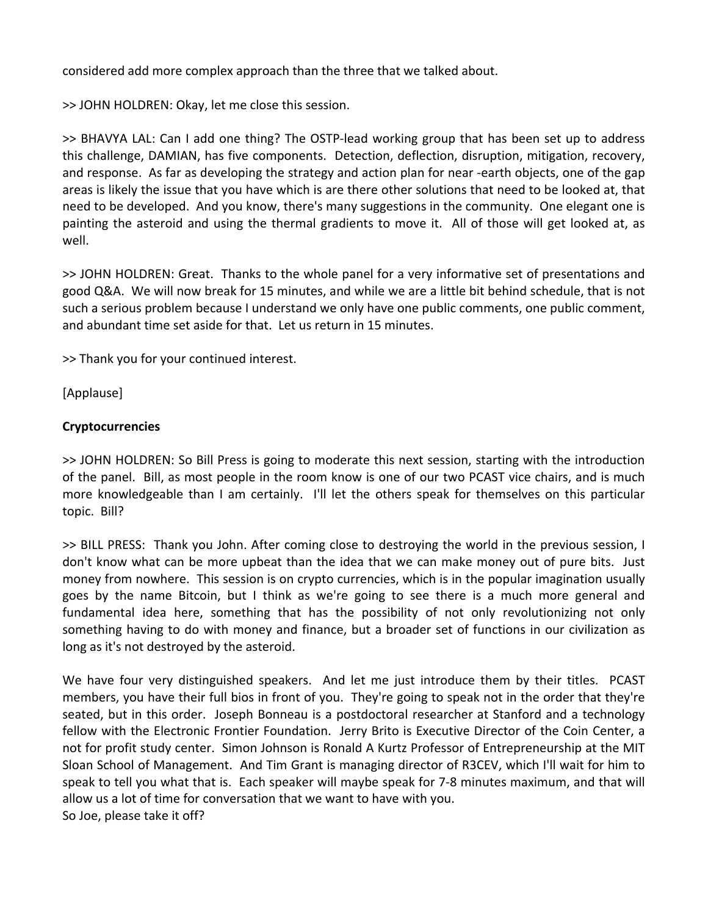considered add more complex approach than the three that we talked about.

>> JOHN HOLDREN: Okay, let me close this session.

>> BHAVYA LAL: Can I add one thing? The OSTP‐lead working group that has been set up to address this challenge, DAMIAN, has five components. Detection, deflection, disruption, mitigation, recovery, and response. As far as developing the strategy and action plan for near ‐earth objects, one of the gap areas is likely the issue that you have which is are there other solutions that need to be looked at, that need to be developed. And you know, there's many suggestions in the community. One elegant one is painting the asteroid and using the thermal gradients to move it. All of those will get looked at, as well.

>> JOHN HOLDREN: Great. Thanks to the whole panel for a very informative set of presentations and good Q&A. We will now break for 15 minutes, and while we are a little bit behind schedule, that is not such a serious problem because I understand we only have one public comments, one public comment, and abundant time set aside for that. Let us return in 15 minutes.

>> Thank you for your continued interest.

[Applause]

## **Cryptocurrencies**

>> JOHN HOLDREN: So Bill Press is going to moderate this next session, starting with the introduction of the panel. Bill, as most people in the room know is one of our two PCAST vice chairs, and is much more knowledgeable than I am certainly. I'll let the others speak for themselves on this particular topic. Bill?

>> BILL PRESS: Thank you John. After coming close to destroying the world in the previous session, I don't know what can be more upbeat than the idea that we can make money out of pure bits. Just money from nowhere. This session is on crypto currencies, which is in the popular imagination usually goes by the name Bitcoin, but I think as we're going to see there is a much more general and fundamental idea here, something that has the possibility of not only revolutionizing not only something having to do with money and finance, but a broader set of functions in our civilization as long as it's not destroyed by the asteroid.

We have four very distinguished speakers. And let me just introduce them by their titles. PCAST members, you have their full bios in front of you. They're going to speak not in the order that they're seated, but in this order. Joseph Bonneau is a postdoctoral researcher at Stanford and a technology fellow with the Electronic Frontier Foundation. Jerry Brito is Executive Director of the Coin Center, a not for profit study center. Simon Johnson is Ronald A Kurtz Professor of Entrepreneurship at the MIT Sloan School of Management. And Tim Grant is managing director of R3CEV, which I'll wait for him to speak to tell you what that is. Each speaker will maybe speak for 7‐8 minutes maximum, and that will allow us a lot of time for conversation that we want to have with you. So Joe, please take it off?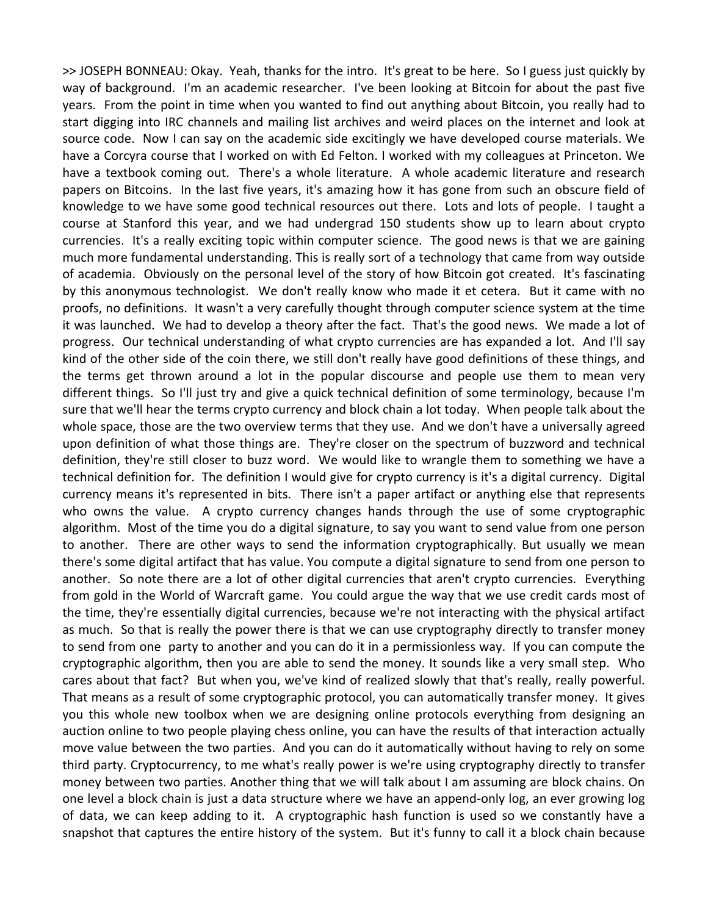>> JOSEPH BONNEAU: Okay. Yeah, thanks for the intro. It's great to be here. So I guess just quickly by way of background. I'm an academic researcher. I've been looking at Bitcoin for about the past five years. From the point in time when you wanted to find out anything about Bitcoin, you really had to start digging into IRC channels and mailing list archives and weird places on the internet and look at source code. Now I can say on the academic side excitingly we have developed course materials. We have a Corcyra course that I worked on with Ed Felton. I worked with my colleagues at Princeton. We have a textbook coming out. There's a whole literature. A whole academic literature and research papers on Bitcoins. In the last five years, it's amazing how it has gone from such an obscure field of knowledge to we have some good technical resources out there. Lots and lots of people. I taught a course at Stanford this year, and we had undergrad 150 students show up to learn about crypto currencies. It's a really exciting topic within computer science. The good news is that we are gaining much more fundamental understanding. This is really sort of a technology that came from way outside of academia. Obviously on the personal level of the story of how Bitcoin got created. It's fascinating by this anonymous technologist. We don't really know who made it et cetera. But it came with no proofs, no definitions. It wasn't a very carefully thought through computer science system at the time it was launched. We had to develop a theory after the fact. That's the good news. We made a lot of progress. Our technical understanding of what crypto currencies are has expanded a lot. And I'll say kind of the other side of the coin there, we still don't really have good definitions of these things, and the terms get thrown around a lot in the popular discourse and people use them to mean very different things. So I'll just try and give a quick technical definition of some terminology, because I'm sure that we'll hear the terms crypto currency and block chain a lot today. When people talk about the whole space, those are the two overview terms that they use. And we don't have a universally agreed upon definition of what those things are. They're closer on the spectrum of buzzword and technical definition, they're still closer to buzz word. We would like to wrangle them to something we have a technical definition for. The definition I would give for crypto currency is it's a digital currency. Digital currency means it's represented in bits. There isn't a paper artifact or anything else that represents who owns the value. A crypto currency changes hands through the use of some cryptographic algorithm. Most of the time you do a digital signature, to say you want to send value from one person to another. There are other ways to send the information cryptographically. But usually we mean there's some digital artifact that has value. You compute a digital signature to send from one person to another. So note there are a lot of other digital currencies that aren't crypto currencies. Everything from gold in the World of Warcraft game. You could argue the way that we use credit cards most of the time, they're essentially digital currencies, because we're not interacting with the physical artifact as much. So that is really the power there is that we can use cryptography directly to transfer money to send from one party to another and you can do it in a permissionless way. If you can compute the cryptographic algorithm, then you are able to send the money. It sounds like a very small step. Who cares about that fact? But when you, we've kind of realized slowly that that's really, really powerful. That means as a result of some cryptographic protocol, you can automatically transfer money. It gives you this whole new toolbox when we are designing online protocols everything from designing an auction online to two people playing chess online, you can have the results of that interaction actually move value between the two parties. And you can do it automatically without having to rely on some third party. Cryptocurrency, to me what's really power is we're using cryptography directly to transfer money between two parties. Another thing that we will talk about I am assuming are block chains. On one level a block chain is just a data structure where we have an append‐only log, an ever growing log of data, we can keep adding to it. A cryptographic hash function is used so we constantly have a snapshot that captures the entire history of the system. But it's funny to call it a block chain because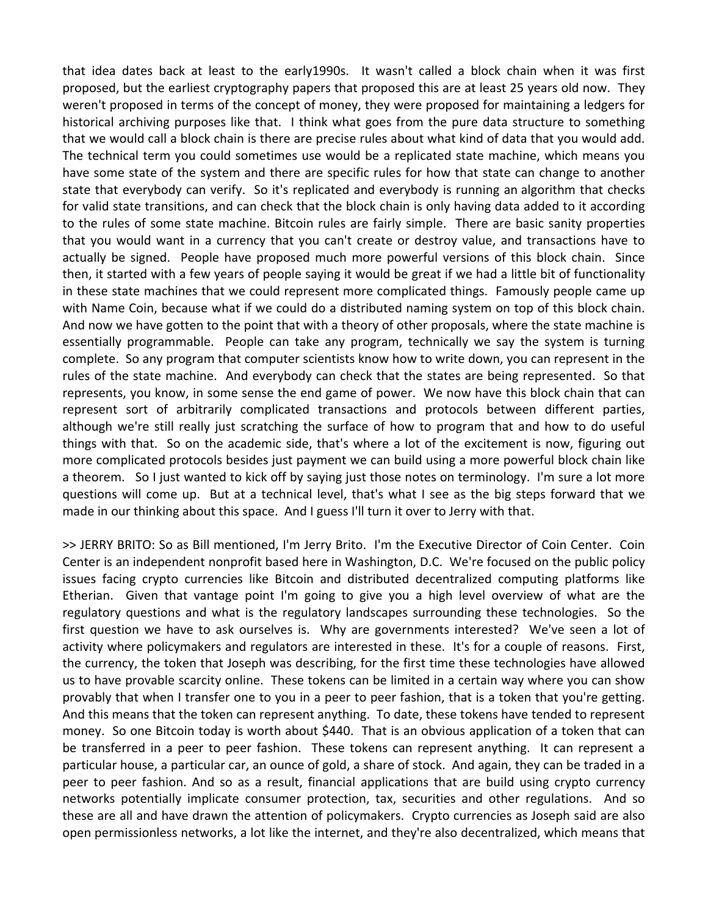that idea dates back at least to the early1990s. It wasn't called a block chain when it was first proposed, but the earliest cryptography papers that proposed this are at least 25 years old now. They weren't proposed in terms of the concept of money, they were proposed for maintaining a ledgers for historical archiving purposes like that. I think what goes from the pure data structure to something that we would call a block chain is there are precise rules about what kind of data that you would add. The technical term you could sometimes use would be a replicated state machine, which means you have some state of the system and there are specific rules for how that state can change to another state that everybody can verify. So it's replicated and everybody is running an algorithm that checks for valid state transitions, and can check that the block chain is only having data added to it according to the rules of some state machine. Bitcoin rules are fairly simple. There are basic sanity properties that you would want in a currency that you can't create or destroy value, and transactions have to actually be signed. People have proposed much more powerful versions of this block chain. Since then, it started with a few years of people saying it would be great if we had a little bit of functionality in these state machines that we could represent more complicated things. Famously people came up with Name Coin, because what if we could do a distributed naming system on top of this block chain. And now we have gotten to the point that with a theory of other proposals, where the state machine is essentially programmable. People can take any program, technically we say the system is turning complete. So any program that computer scientists know how to write down, you can represent in the rules of the state machine. And everybody can check that the states are being represented. So that represents, you know, in some sense the end game of power. We now have this block chain that can represent sort of arbitrarily complicated transactions and protocols between different parties, although we're still really just scratching the surface of how to program that and how to do useful things with that. So on the academic side, that's where a lot of the excitement is now, figuring out more complicated protocols besides just payment we can build using a more powerful block chain like a theorem. So I just wanted to kick off by saying just those notes on terminology. I'm sure a lot more questions will come up. But at a technical level, that's what I see as the big steps forward that we made in our thinking about this space. And I guess I'll turn it over to Jerry with that.

>> JERRY BRITO: So as Bill mentioned, I'm Jerry Brito. I'm the Executive Director of Coin Center. Coin Center is an independent nonprofit based here in Washington, D.C. We're focused on the public policy issues facing crypto currencies like Bitcoin and distributed decentralized computing platforms like Etherian. Given that vantage point I'm going to give you a high level overview of what are the regulatory questions and what is the regulatory landscapes surrounding these technologies. So the first question we have to ask ourselves is. Why are governments interested? We've seen a lot of activity where policymakers and regulators are interested in these. It's for a couple of reasons. First, the currency, the token that Joseph was describing, for the first time these technologies have allowed us to have provable scarcity online. These tokens can be limited in a certain way where you can show provably that when I transfer one to you in a peer to peer fashion, that is a token that you're getting. And this means that the token can represent anything. To date, these tokens have tended to represent money. So one Bitcoin today is worth about \$440. That is an obvious application of a token that can be transferred in a peer to peer fashion. These tokens can represent anything. It can represent a particular house, a particular car, an ounce of gold, a share of stock. And again, they can be traded in a peer to peer fashion. And so as a result, financial applications that are build using crypto currency networks potentially implicate consumer protection, tax, securities and other regulations. And so these are all and have drawn the attention of policymakers. Crypto currencies as Joseph said are also open permissionless networks, a lot like the internet, and they're also decentralized, which means that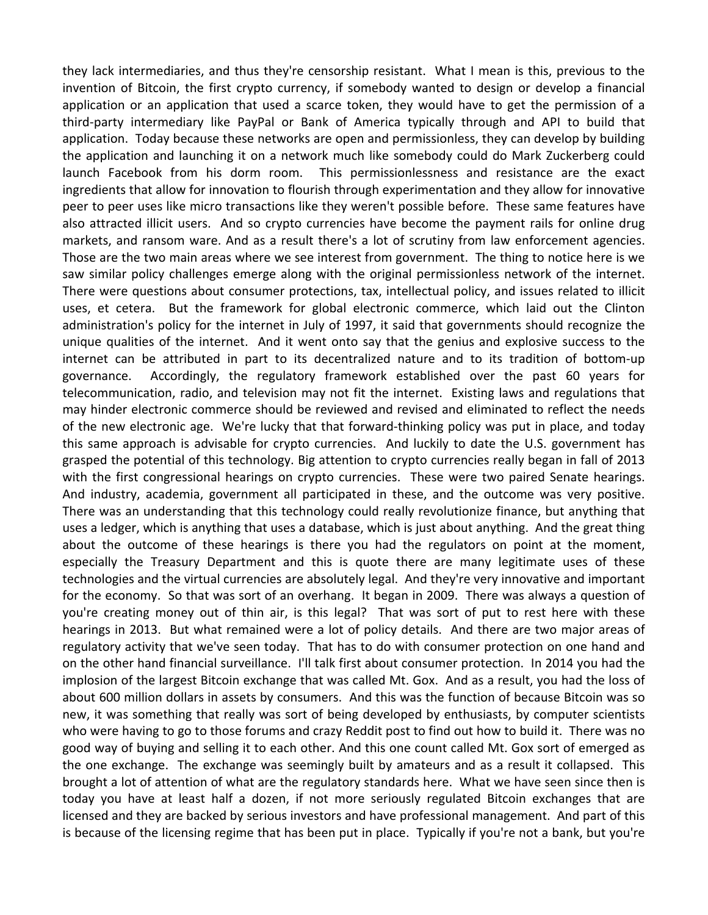they lack intermediaries, and thus they're censorship resistant. What I mean is this, previous to the invention of Bitcoin, the first crypto currency, if somebody wanted to design or develop a financial application or an application that used a scarce token, they would have to get the permission of a third‐party intermediary like PayPal or Bank of America typically through and API to build that application. Today because these networks are open and permissionless, they can develop by building the application and launching it on a network much like somebody could do Mark Zuckerberg could launch Facebook from his dorm room. This permissionlessness and resistance are the exact ingredients that allow for innovation to flourish through experimentation and they allow for innovative peer to peer uses like micro transactions like they weren't possible before. These same features have also attracted illicit users. And so crypto currencies have become the payment rails for online drug markets, and ransom ware. And as a result there's a lot of scrutiny from law enforcement agencies. Those are the two main areas where we see interest from government. The thing to notice here is we saw similar policy challenges emerge along with the original permissionless network of the internet. There were questions about consumer protections, tax, intellectual policy, and issues related to illicit uses, et cetera. But the framework for global electronic commerce, which laid out the Clinton administration's policy for the internet in July of 1997, it said that governments should recognize the unique qualities of the internet. And it went onto say that the genius and explosive success to the internet can be attributed in part to its decentralized nature and to its tradition of bottom‐up governance. Accordingly, the regulatory framework established over the past 60 years for telecommunication, radio, and television may not fit the internet. Existing laws and regulations that may hinder electronic commerce should be reviewed and revised and eliminated to reflect the needs of the new electronic age. We're lucky that that forward‐thinking policy was put in place, and today this same approach is advisable for crypto currencies. And luckily to date the U.S. government has grasped the potential of this technology. Big attention to crypto currencies really began in fall of 2013 with the first congressional hearings on crypto currencies. These were two paired Senate hearings. And industry, academia, government all participated in these, and the outcome was very positive. There was an understanding that this technology could really revolutionize finance, but anything that uses a ledger, which is anything that uses a database, which is just about anything. And the great thing about the outcome of these hearings is there you had the regulators on point at the moment, especially the Treasury Department and this is quote there are many legitimate uses of these technologies and the virtual currencies are absolutely legal. And they're very innovative and important for the economy. So that was sort of an overhang. It began in 2009. There was always a question of you're creating money out of thin air, is this legal? That was sort of put to rest here with these hearings in 2013. But what remained were a lot of policy details. And there are two major areas of regulatory activity that we've seen today. That has to do with consumer protection on one hand and on the other hand financial surveillance. I'll talk first about consumer protection. In 2014 you had the implosion of the largest Bitcoin exchange that was called Mt. Gox. And as a result, you had the loss of about 600 million dollars in assets by consumers. And this was the function of because Bitcoin was so new, it was something that really was sort of being developed by enthusiasts, by computer scientists who were having to go to those forums and crazy Reddit post to find out how to build it. There was no good way of buying and selling it to each other. And this one count called Mt. Gox sort of emerged as the one exchange. The exchange was seemingly built by amateurs and as a result it collapsed. This brought a lot of attention of what are the regulatory standards here. What we have seen since then is today you have at least half a dozen, if not more seriously regulated Bitcoin exchanges that are licensed and they are backed by serious investors and have professional management. And part of this is because of the licensing regime that has been put in place. Typically if you're not a bank, but you're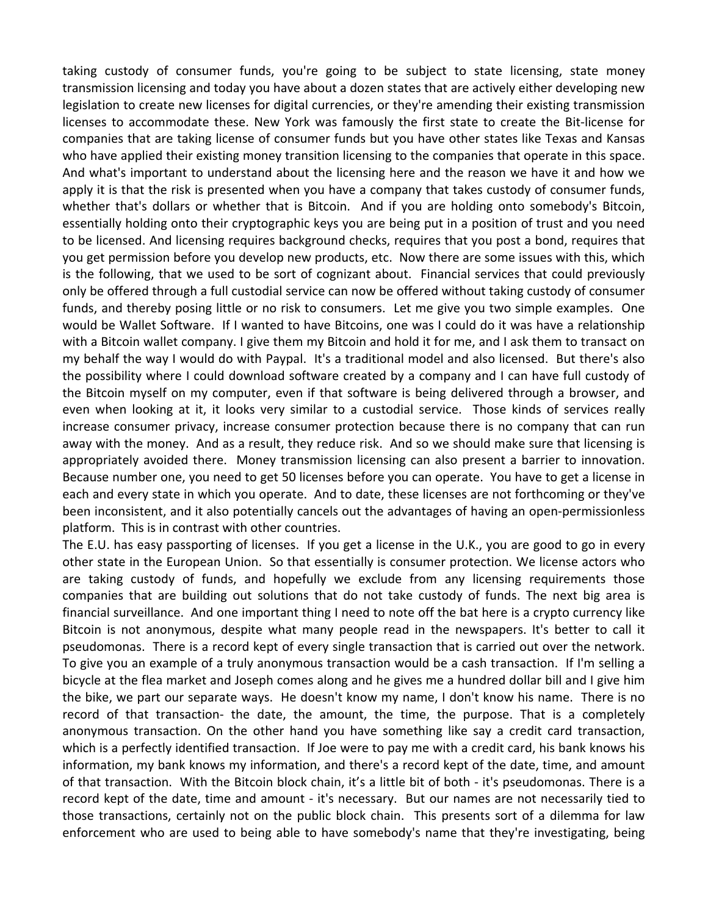taking custody of consumer funds, you're going to be subject to state licensing, state money transmission licensing and today you have about a dozen states that are actively either developing new legislation to create new licenses for digital currencies, or they're amending their existing transmission licenses to accommodate these. New York was famously the first state to create the Bit‐license for companies that are taking license of consumer funds but you have other states like Texas and Kansas who have applied their existing money transition licensing to the companies that operate in this space. And what's important to understand about the licensing here and the reason we have it and how we apply it is that the risk is presented when you have a company that takes custody of consumer funds, whether that's dollars or whether that is Bitcoin. And if you are holding onto somebody's Bitcoin, essentially holding onto their cryptographic keys you are being put in a position of trust and you need to be licensed. And licensing requires background checks, requires that you post a bond, requires that you get permission before you develop new products, etc. Now there are some issues with this, which is the following, that we used to be sort of cognizant about. Financial services that could previously only be offered through a full custodial service can now be offered without taking custody of consumer funds, and thereby posing little or no risk to consumers. Let me give you two simple examples. One would be Wallet Software. If I wanted to have Bitcoins, one was I could do it was have a relationship with a Bitcoin wallet company. I give them my Bitcoin and hold it for me, and I ask them to transact on my behalf the way I would do with Paypal. It's a traditional model and also licensed. But there's also the possibility where I could download software created by a company and I can have full custody of the Bitcoin myself on my computer, even if that software is being delivered through a browser, and even when looking at it, it looks very similar to a custodial service. Those kinds of services really increase consumer privacy, increase consumer protection because there is no company that can run away with the money. And as a result, they reduce risk. And so we should make sure that licensing is appropriately avoided there. Money transmission licensing can also present a barrier to innovation. Because number one, you need to get 50 licenses before you can operate. You have to get a license in each and every state in which you operate. And to date, these licenses are not forthcoming or they've been inconsistent, and it also potentially cancels out the advantages of having an open-permissionless platform. This is in contrast with other countries.

The E.U. has easy passporting of licenses. If you get a license in the U.K., you are good to go in every other state in the European Union. So that essentially is consumer protection. We license actors who are taking custody of funds, and hopefully we exclude from any licensing requirements those companies that are building out solutions that do not take custody of funds. The next big area is financial surveillance. And one important thing I need to note off the bat here is a crypto currency like Bitcoin is not anonymous, despite what many people read in the newspapers. It's better to call it pseudomonas. There is a record kept of every single transaction that is carried out over the network. To give you an example of a truly anonymous transaction would be a cash transaction. If I'm selling a bicycle at the flea market and Joseph comes along and he gives me a hundred dollar bill and I give him the bike, we part our separate ways. He doesn't know my name, I don't know his name. There is no record of that transaction‐ the date, the amount, the time, the purpose. That is a completely anonymous transaction. On the other hand you have something like say a credit card transaction, which is a perfectly identified transaction. If Joe were to pay me with a credit card, his bank knows his information, my bank knows my information, and there's a record kept of the date, time, and amount of that transaction. With the Bitcoin block chain, it's a little bit of both ‐ it's pseudomonas. There is a record kept of the date, time and amount - it's necessary. But our names are not necessarily tied to those transactions, certainly not on the public block chain. This presents sort of a dilemma for law enforcement who are used to being able to have somebody's name that they're investigating, being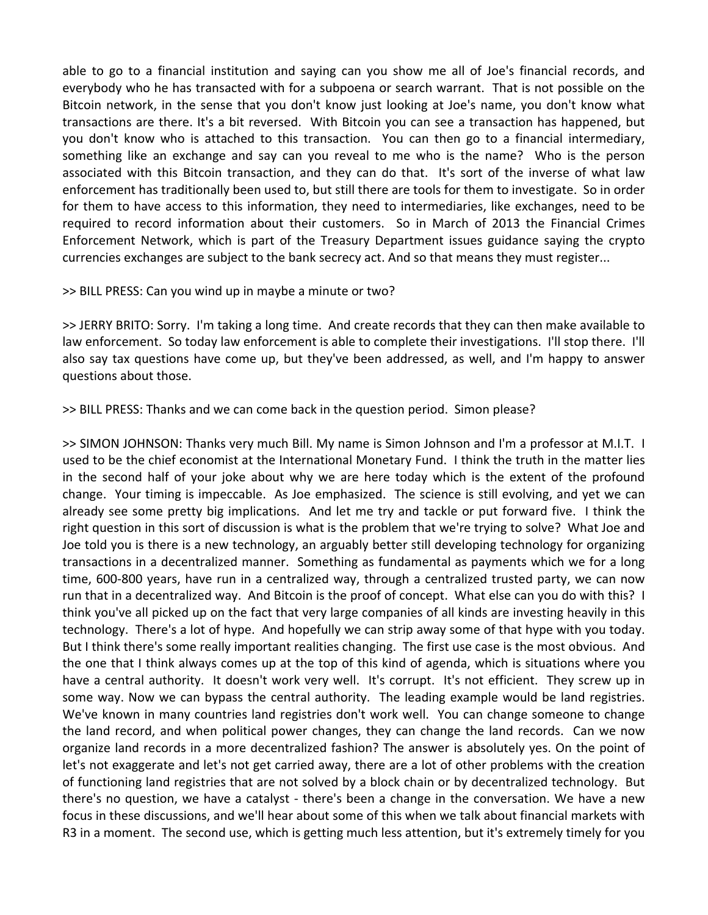able to go to a financial institution and saying can you show me all of Joe's financial records, and everybody who he has transacted with for a subpoena or search warrant. That is not possible on the Bitcoin network, in the sense that you don't know just looking at Joe's name, you don't know what transactions are there. It's a bit reversed. With Bitcoin you can see a transaction has happened, but you don't know who is attached to this transaction. You can then go to a financial intermediary, something like an exchange and say can you reveal to me who is the name? Who is the person associated with this Bitcoin transaction, and they can do that. It's sort of the inverse of what law enforcement has traditionally been used to, but still there are tools for them to investigate. So in order for them to have access to this information, they need to intermediaries, like exchanges, need to be required to record information about their customers. So in March of 2013 the Financial Crimes Enforcement Network, which is part of the Treasury Department issues guidance saying the crypto currencies exchanges are subject to the bank secrecy act. And so that means they must register...

### >> BILL PRESS: Can you wind up in maybe a minute or two?

>> JERRY BRITO: Sorry. I'm taking a long time. And create records that they can then make available to law enforcement. So today law enforcement is able to complete their investigations. I'll stop there. I'll also say tax questions have come up, but they've been addressed, as well, and I'm happy to answer questions about those.

>> BILL PRESS: Thanks and we can come back in the question period. Simon please?

>> SIMON JOHNSON: Thanks very much Bill. My name is Simon Johnson and I'm a professor at M.I.T. I used to be the chief economist at the International Monetary Fund. I think the truth in the matter lies in the second half of your joke about why we are here today which is the extent of the profound change. Your timing is impeccable. As Joe emphasized. The science is still evolving, and yet we can already see some pretty big implications. And let me try and tackle or put forward five. I think the right question in this sort of discussion is what is the problem that we're trying to solve? What Joe and Joe told you is there is a new technology, an arguably better still developing technology for organizing transactions in a decentralized manner. Something as fundamental as payments which we for a long time, 600‐800 years, have run in a centralized way, through a centralized trusted party, we can now run that in a decentralized way. And Bitcoin is the proof of concept. What else can you do with this? I think you've all picked up on the fact that very large companies of all kinds are investing heavily in this technology. There's a lot of hype. And hopefully we can strip away some of that hype with you today. But I think there's some really important realities changing. The first use case is the most obvious. And the one that I think always comes up at the top of this kind of agenda, which is situations where you have a central authority. It doesn't work very well. It's corrupt. It's not efficient. They screw up in some way. Now we can bypass the central authority. The leading example would be land registries. We've known in many countries land registries don't work well. You can change someone to change the land record, and when political power changes, they can change the land records. Can we now organize land records in a more decentralized fashion? The answer is absolutely yes. On the point of let's not exaggerate and let's not get carried away, there are a lot of other problems with the creation of functioning land registries that are not solved by a block chain or by decentralized technology. But there's no question, we have a catalyst ‐ there's been a change in the conversation. We have a new focus in these discussions, and we'll hear about some of this when we talk about financial markets with R3 in a moment. The second use, which is getting much less attention, but it's extremely timely for you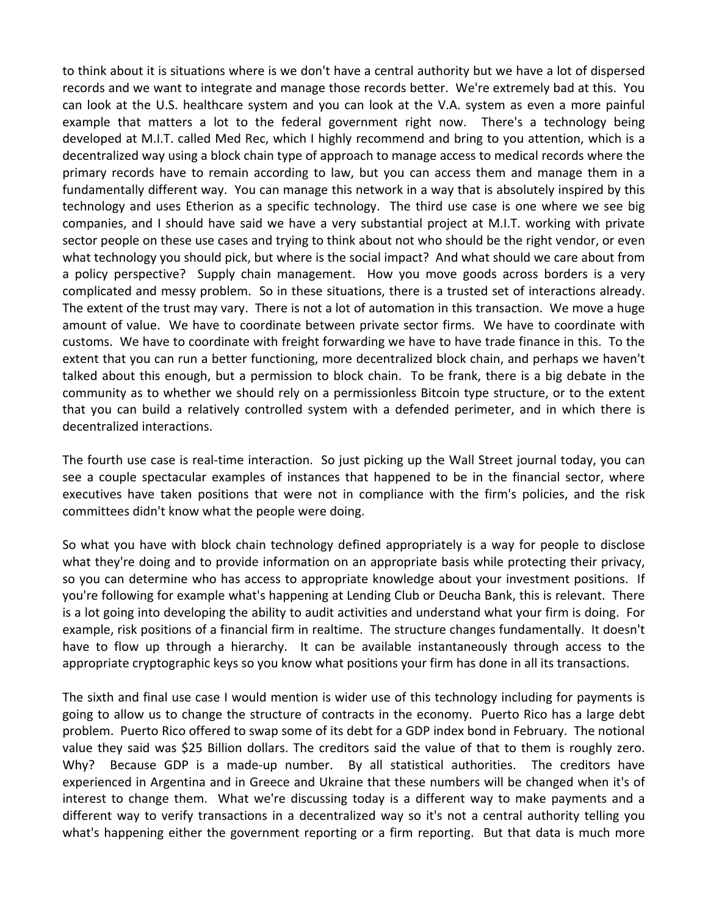to think about it is situations where is we don't have a central authority but we have a lot of dispersed records and we want to integrate and manage those records better. We're extremely bad at this. You can look at the U.S. healthcare system and you can look at the V.A. system as even a more painful example that matters a lot to the federal government right now. There's a technology being developed at M.I.T. called Med Rec, which I highly recommend and bring to you attention, which is a decentralized way using a block chain type of approach to manage access to medical records where the primary records have to remain according to law, but you can access them and manage them in a fundamentally different way. You can manage this network in a way that is absolutely inspired by this technology and uses Etherion as a specific technology. The third use case is one where we see big companies, and I should have said we have a very substantial project at M.I.T. working with private sector people on these use cases and trying to think about not who should be the right vendor, or even what technology you should pick, but where is the social impact? And what should we care about from a policy perspective? Supply chain management. How you move goods across borders is a very complicated and messy problem. So in these situations, there is a trusted set of interactions already. The extent of the trust may vary. There is not a lot of automation in this transaction. We move a huge amount of value. We have to coordinate between private sector firms. We have to coordinate with customs. We have to coordinate with freight forwarding we have to have trade finance in this. To the extent that you can run a better functioning, more decentralized block chain, and perhaps we haven't talked about this enough, but a permission to block chain. To be frank, there is a big debate in the community as to whether we should rely on a permissionless Bitcoin type structure, or to the extent that you can build a relatively controlled system with a defended perimeter, and in which there is decentralized interactions.

The fourth use case is real-time interaction. So just picking up the Wall Street journal today, you can see a couple spectacular examples of instances that happened to be in the financial sector, where executives have taken positions that were not in compliance with the firm's policies, and the risk committees didn't know what the people were doing.

So what you have with block chain technology defined appropriately is a way for people to disclose what they're doing and to provide information on an appropriate basis while protecting their privacy, so you can determine who has access to appropriate knowledge about your investment positions. If you're following for example what's happening at Lending Club or Deucha Bank, this is relevant. There is a lot going into developing the ability to audit activities and understand what your firm is doing. For example, risk positions of a financial firm in realtime. The structure changes fundamentally. It doesn't have to flow up through a hierarchy. It can be available instantaneously through access to the appropriate cryptographic keys so you know what positions your firm has done in all its transactions.

The sixth and final use case I would mention is wider use of this technology including for payments is going to allow us to change the structure of contracts in the economy. Puerto Rico has a large debt problem. Puerto Rico offered to swap some of its debt for a GDP index bond in February. The notional value they said was \$25 Billion dollars. The creditors said the value of that to them is roughly zero. Why? Because GDP is a made-up number. By all statistical authorities. The creditors have experienced in Argentina and in Greece and Ukraine that these numbers will be changed when it's of interest to change them. What we're discussing today is a different way to make payments and a different way to verify transactions in a decentralized way so it's not a central authority telling you what's happening either the government reporting or a firm reporting. But that data is much more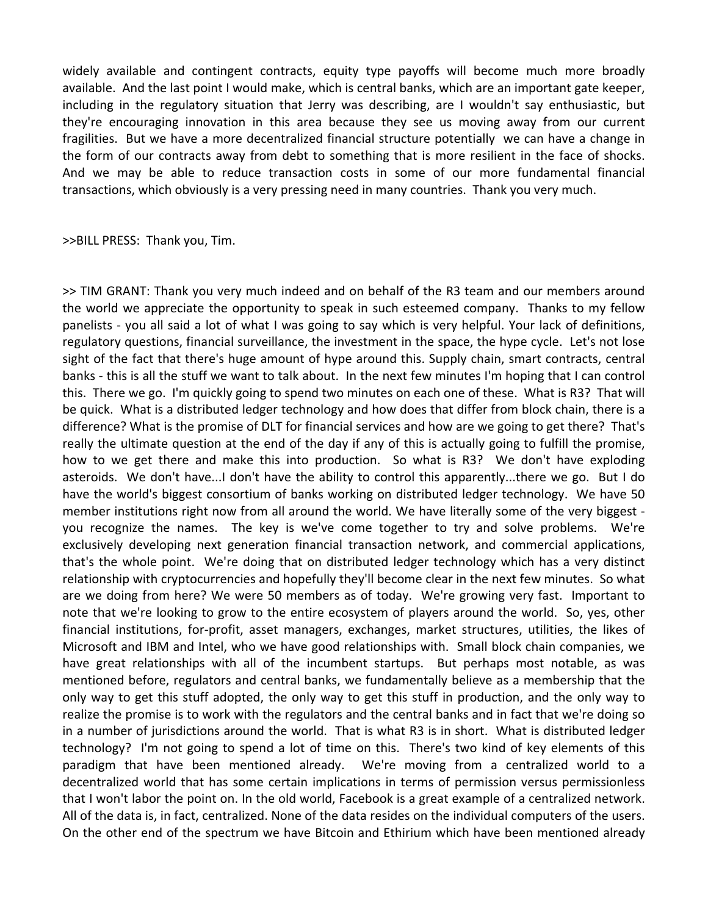widely available and contingent contracts, equity type payoffs will become much more broadly available. And the last point I would make, which is central banks, which are an important gate keeper, including in the regulatory situation that Jerry was describing, are I wouldn't say enthusiastic, but they're encouraging innovation in this area because they see us moving away from our current fragilities. But we have a more decentralized financial structure potentially we can have a change in the form of our contracts away from debt to something that is more resilient in the face of shocks. And we may be able to reduce transaction costs in some of our more fundamental financial transactions, which obviously is a very pressing need in many countries. Thank you very much.

>>BILL PRESS: Thank you, Tim.

>> TIM GRANT: Thank you very much indeed and on behalf of the R3 team and our members around the world we appreciate the opportunity to speak in such esteemed company. Thanks to my fellow panelists ‐ you all said a lot of what I was going to say which is very helpful. Your lack of definitions, regulatory questions, financial surveillance, the investment in the space, the hype cycle. Let's not lose sight of the fact that there's huge amount of hype around this. Supply chain, smart contracts, central banks ‐ this is all the stuff we want to talk about. In the next few minutes I'm hoping that I can control this. There we go. I'm quickly going to spend two minutes on each one of these. What is R3? That will be quick. What is a distributed ledger technology and how does that differ from block chain, there is a difference? What is the promise of DLT for financial services and how are we going to get there? That's really the ultimate question at the end of the day if any of this is actually going to fulfill the promise, how to we get there and make this into production. So what is R3? We don't have exploding asteroids. We don't have...I don't have the ability to control this apparently...there we go. But I do have the world's biggest consortium of banks working on distributed ledger technology. We have 50 member institutions right now from all around the world. We have literally some of the very biggest you recognize the names. The key is we've come together to try and solve problems. We're exclusively developing next generation financial transaction network, and commercial applications, that's the whole point. We're doing that on distributed ledger technology which has a very distinct relationship with cryptocurrencies and hopefully they'll become clear in the next few minutes. So what are we doing from here? We were 50 members as of today. We're growing very fast. Important to note that we're looking to grow to the entire ecosystem of players around the world. So, yes, other financial institutions, for-profit, asset managers, exchanges, market structures, utilities, the likes of Microsoft and IBM and Intel, who we have good relationships with. Small block chain companies, we have great relationships with all of the incumbent startups. But perhaps most notable, as was mentioned before, regulators and central banks, we fundamentally believe as a membership that the only way to get this stuff adopted, the only way to get this stuff in production, and the only way to realize the promise is to work with the regulators and the central banks and in fact that we're doing so in a number of jurisdictions around the world. That is what R3 is in short. What is distributed ledger technology? I'm not going to spend a lot of time on this. There's two kind of key elements of this paradigm that have been mentioned already. We're moving from a centralized world to a decentralized world that has some certain implications in terms of permission versus permissionless that I won't labor the point on. In the old world, Facebook is a great example of a centralized network. All of the data is, in fact, centralized. None of the data resides on the individual computers of the users. On the other end of the spectrum we have Bitcoin and Ethirium which have been mentioned already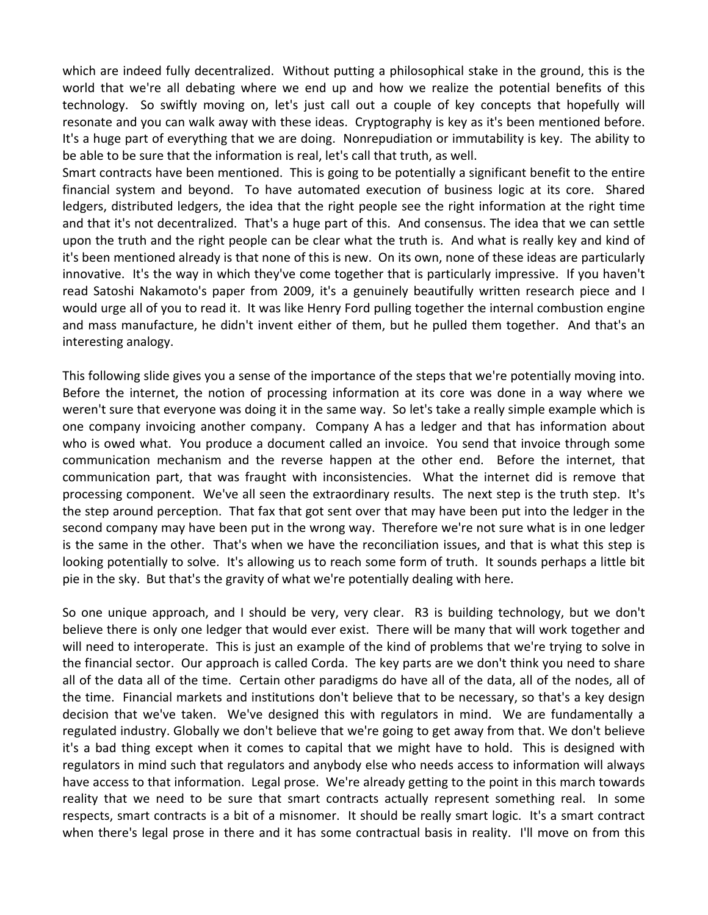which are indeed fully decentralized. Without putting a philosophical stake in the ground, this is the world that we're all debating where we end up and how we realize the potential benefits of this technology. So swiftly moving on, let's just call out a couple of key concepts that hopefully will resonate and you can walk away with these ideas. Cryptography is key as it's been mentioned before. It's a huge part of everything that we are doing. Nonrepudiation or immutability is key. The ability to be able to be sure that the information is real, let's call that truth, as well.

Smart contracts have been mentioned. This is going to be potentially a significant benefit to the entire financial system and beyond. To have automated execution of business logic at its core. Shared ledgers, distributed ledgers, the idea that the right people see the right information at the right time and that it's not decentralized. That's a huge part of this. And consensus. The idea that we can settle upon the truth and the right people can be clear what the truth is. And what is really key and kind of it's been mentioned already is that none of this is new. On its own, none of these ideas are particularly innovative. It's the way in which they've come together that is particularly impressive. If you haven't read Satoshi Nakamoto's paper from 2009, it's a genuinely beautifully written research piece and I would urge all of you to read it. It was like Henry Ford pulling together the internal combustion engine and mass manufacture, he didn't invent either of them, but he pulled them together. And that's an interesting analogy.

This following slide gives you a sense of the importance of the steps that we're potentially moving into. Before the internet, the notion of processing information at its core was done in a way where we weren't sure that everyone was doing it in the same way. So let's take a really simple example which is one company invoicing another company. Company A has a ledger and that has information about who is owed what. You produce a document called an invoice. You send that invoice through some communication mechanism and the reverse happen at the other end. Before the internet, that communication part, that was fraught with inconsistencies. What the internet did is remove that processing component. We've all seen the extraordinary results. The next step is the truth step. It's the step around perception. That fax that got sent over that may have been put into the ledger in the second company may have been put in the wrong way. Therefore we're not sure what is in one ledger is the same in the other. That's when we have the reconciliation issues, and that is what this step is looking potentially to solve. It's allowing us to reach some form of truth. It sounds perhaps a little bit pie in the sky. But that's the gravity of what we're potentially dealing with here.

So one unique approach, and I should be very, very clear. R3 is building technology, but we don't believe there is only one ledger that would ever exist. There will be many that will work together and will need to interoperate. This is just an example of the kind of problems that we're trying to solve in the financial sector. Our approach is called Corda. The key parts are we don't think you need to share all of the data all of the time. Certain other paradigms do have all of the data, all of the nodes, all of the time. Financial markets and institutions don't believe that to be necessary, so that's a key design decision that we've taken. We've designed this with regulators in mind. We are fundamentally a regulated industry. Globally we don't believe that we're going to get away from that. We don't believe it's a bad thing except when it comes to capital that we might have to hold. This is designed with regulators in mind such that regulators and anybody else who needs access to information will always have access to that information. Legal prose. We're already getting to the point in this march towards reality that we need to be sure that smart contracts actually represent something real. In some respects, smart contracts is a bit of a misnomer. It should be really smart logic. It's a smart contract when there's legal prose in there and it has some contractual basis in reality. I'll move on from this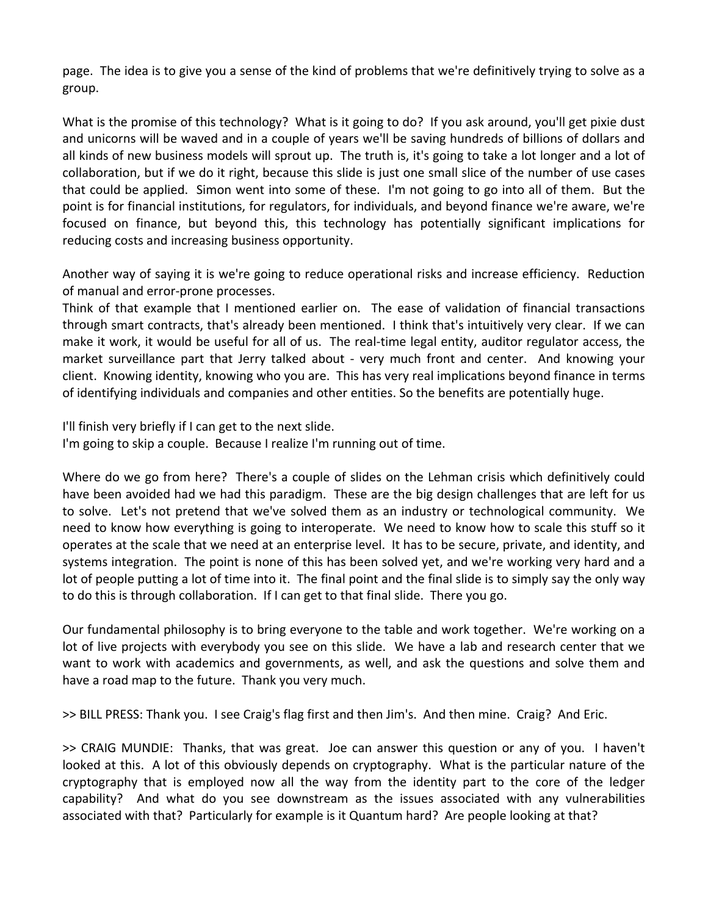page. The idea is to give you a sense of the kind of problems that we're definitively trying to solve as a group.

What is the promise of this technology? What is it going to do? If you ask around, you'll get pixie dust and unicorns will be waved and in a couple of years we'll be saving hundreds of billions of dollars and all kinds of new business models will sprout up. The truth is, it's going to take a lot longer and a lot of collaboration, but if we do it right, because this slide is just one small slice of the number of use cases that could be applied. Simon went into some of these. I'm not going to go into all of them. But the point is for financial institutions, for regulators, for individuals, and beyond finance we're aware, we're focused on finance, but beyond this, this technology has potentially significant implications for reducing costs and increasing business opportunity.

Another way of saying it is we're going to reduce operational risks and increase efficiency. Reduction of manual and error‐prone processes.

Think of that example that I mentioned earlier on. The ease of validation of financial transactions through smart contracts, that's already been mentioned. I think that's intuitively very clear. If we can make it work, it would be useful for all of us. The real-time legal entity, auditor regulator access, the market surveillance part that Jerry talked about - very much front and center. And knowing your client. Knowing identity, knowing who you are. This has very real implications beyond finance in terms of identifying individuals and companies and other entities. So the benefits are potentially huge.

I'll finish very briefly if I can get to the next slide.

I'm going to skip a couple. Because I realize I'm running out of time.

Where do we go from here? There's a couple of slides on the Lehman crisis which definitively could have been avoided had we had this paradigm. These are the big design challenges that are left for us to solve. Let's not pretend that we've solved them as an industry or technological community. We need to know how everything is going to interoperate. We need to know how to scale this stuff so it operates at the scale that we need at an enterprise level. It has to be secure, private, and identity, and systems integration. The point is none of this has been solved yet, and we're working very hard and a lot of people putting a lot of time into it. The final point and the final slide is to simply say the only way to do this is through collaboration. If I can get to that final slide. There you go.

Our fundamental philosophy is to bring everyone to the table and work together. We're working on a lot of live projects with everybody you see on this slide. We have a lab and research center that we want to work with academics and governments, as well, and ask the questions and solve them and have a road map to the future. Thank you very much.

>> BILL PRESS: Thank you. I see Craig's flag first and then Jim's. And then mine. Craig? And Eric.

>> CRAIG MUNDIE: Thanks, that was great. Joe can answer this question or any of you. I haven't looked at this. A lot of this obviously depends on cryptography. What is the particular nature of the cryptography that is employed now all the way from the identity part to the core of the ledger capability? And what do you see downstream as the issues associated with any vulnerabilities associated with that? Particularly for example is it Quantum hard? Are people looking at that?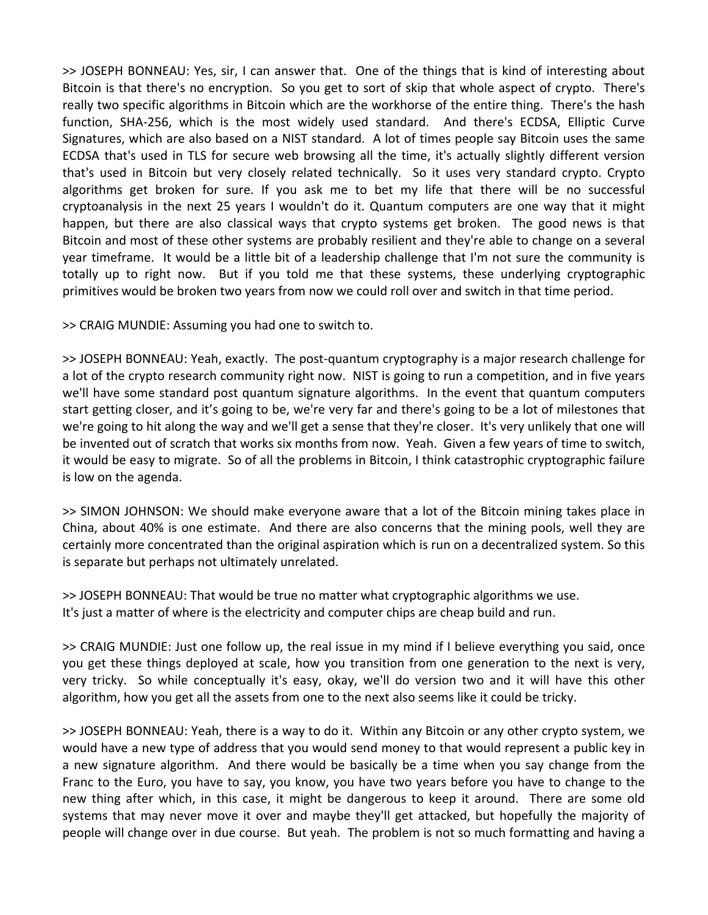>> JOSEPH BONNEAU: Yes, sir, I can answer that. One of the things that is kind of interesting about Bitcoin is that there's no encryption. So you get to sort of skip that whole aspect of crypto. There's really two specific algorithms in Bitcoin which are the workhorse of the entire thing. There's the hash function, SHA-256, which is the most widely used standard. And there's ECDSA, Elliptic Curve Signatures, which are also based on a NIST standard. A lot of times people say Bitcoin uses the same ECDSA that's used in TLS for secure web browsing all the time, it's actually slightly different version that's used in Bitcoin but very closely related technically. So it uses very standard crypto. Crypto algorithms get broken for sure. If you ask me to bet my life that there will be no successful cryptoanalysis in the next 25 years I wouldn't do it. Quantum computers are one way that it might happen, but there are also classical ways that crypto systems get broken. The good news is that Bitcoin and most of these other systems are probably resilient and they're able to change on a several year timeframe. It would be a little bit of a leadership challenge that I'm not sure the community is totally up to right now. But if you told me that these systems, these underlying cryptographic primitives would be broken two years from now we could roll over and switch in that time period.

>> CRAIG MUNDIE: Assuming you had one to switch to.

>> JOSEPH BONNEAU: Yeah, exactly. The post‐quantum cryptography is a major research challenge for a lot of the crypto research community right now. NIST is going to run a competition, and in five years we'll have some standard post quantum signature algorithms. In the event that quantum computers start getting closer, and it's going to be, we're very far and there's going to be a lot of milestones that we're going to hit along the way and we'll get a sense that they're closer. It's very unlikely that one will be invented out of scratch that works six months from now. Yeah. Given a few years of time to switch, it would be easy to migrate. So of all the problems in Bitcoin, I think catastrophic cryptographic failure is low on the agenda.

>> SIMON JOHNSON: We should make everyone aware that a lot of the Bitcoin mining takes place in China, about 40% is one estimate. And there are also concerns that the mining pools, well they are certainly more concentrated than the original aspiration which is run on a decentralized system. So this is separate but perhaps not ultimately unrelated.

>> JOSEPH BONNEAU: That would be true no matter what cryptographic algorithms we use. It's just a matter of where is the electricity and computer chips are cheap build and run.

>> CRAIG MUNDIE: Just one follow up, the real issue in my mind if I believe everything you said, once you get these things deployed at scale, how you transition from one generation to the next is very, very tricky. So while conceptually it's easy, okay, we'll do version two and it will have this other algorithm, how you get all the assets from one to the next also seems like it could be tricky.

>> JOSEPH BONNEAU: Yeah, there is a way to do it. Within any Bitcoin or any other crypto system, we would have a new type of address that you would send money to that would represent a public key in a new signature algorithm. And there would be basically be a time when you say change from the Franc to the Euro, you have to say, you know, you have two years before you have to change to the new thing after which, in this case, it might be dangerous to keep it around. There are some old systems that may never move it over and maybe they'll get attacked, but hopefully the majority of people will change over in due course. But yeah. The problem is not so much formatting and having a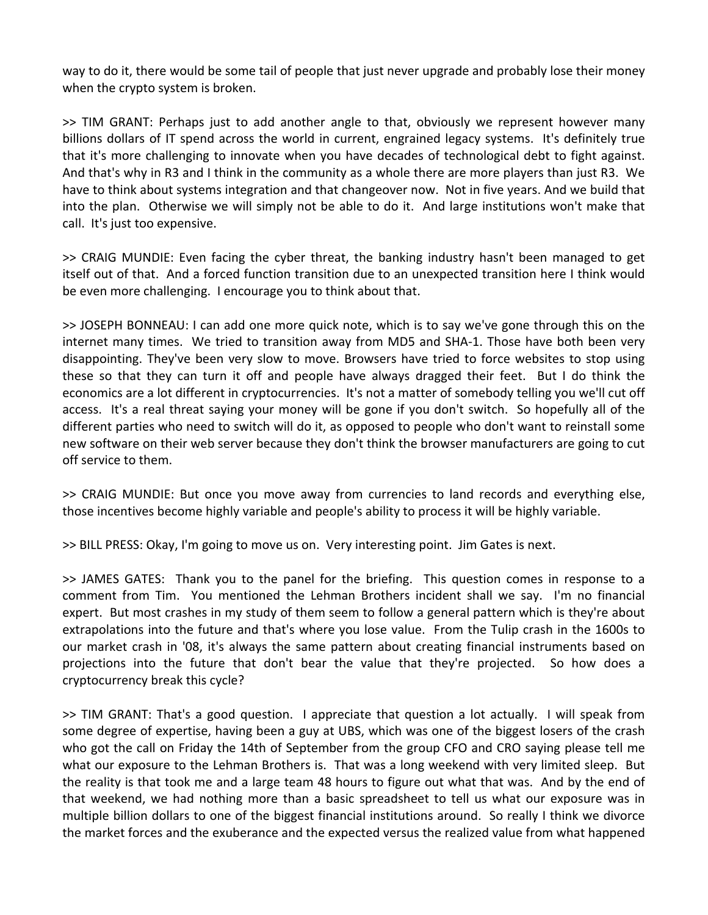way to do it, there would be some tail of people that just never upgrade and probably lose their money when the crypto system is broken.

>> TIM GRANT: Perhaps just to add another angle to that, obviously we represent however many billions dollars of IT spend across the world in current, engrained legacy systems. It's definitely true that it's more challenging to innovate when you have decades of technological debt to fight against. And that's why in R3 and I think in the community as a whole there are more players than just R3. We have to think about systems integration and that changeover now. Not in five years. And we build that into the plan. Otherwise we will simply not be able to do it. And large institutions won't make that call. It's just too expensive.

>> CRAIG MUNDIE: Even facing the cyber threat, the banking industry hasn't been managed to get itself out of that. And a forced function transition due to an unexpected transition here I think would be even more challenging. I encourage you to think about that.

>> JOSEPH BONNEAU: I can add one more quick note, which is to say we've gone through this on the internet many times. We tried to transition away from MD5 and SHA‐1. Those have both been very disappointing. They've been very slow to move. Browsers have tried to force websites to stop using these so that they can turn it off and people have always dragged their feet. But I do think the economics are a lot different in cryptocurrencies. It's not a matter of somebody telling you we'll cut off access. It's a real threat saying your money will be gone if you don't switch. So hopefully all of the different parties who need to switch will do it, as opposed to people who don't want to reinstall some new software on their web server because they don't think the browser manufacturers are going to cut off service to them.

>> CRAIG MUNDIE: But once you move away from currencies to land records and everything else, those incentives become highly variable and people's ability to process it will be highly variable.

>> BILL PRESS: Okay, I'm going to move us on. Very interesting point. Jim Gates is next.

>> JAMES GATES: Thank you to the panel for the briefing. This question comes in response to a comment from Tim. You mentioned the Lehman Brothers incident shall we say. I'm no financial expert. But most crashes in my study of them seem to follow a general pattern which is they're about extrapolations into the future and that's where you lose value. From the Tulip crash in the 1600s to our market crash in '08, it's always the same pattern about creating financial instruments based on projections into the future that don't bear the value that they're projected. So how does a cryptocurrency break this cycle?

>> TIM GRANT: That's a good question. I appreciate that question a lot actually. I will speak from some degree of expertise, having been a guy at UBS, which was one of the biggest losers of the crash who got the call on Friday the 14th of September from the group CFO and CRO saying please tell me what our exposure to the Lehman Brothers is. That was a long weekend with very limited sleep. But the reality is that took me and a large team 48 hours to figure out what that was. And by the end of that weekend, we had nothing more than a basic spreadsheet to tell us what our exposure was in multiple billion dollars to one of the biggest financial institutions around. So really I think we divorce the market forces and the exuberance and the expected versus the realized value from what happened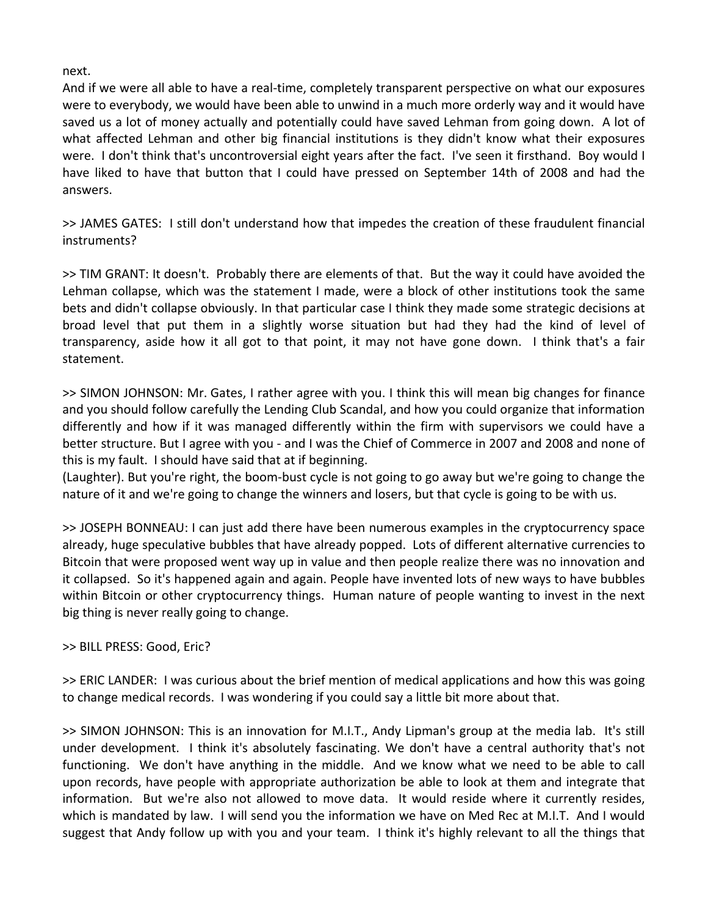next.

And if we were all able to have a real-time, completely transparent perspective on what our exposures were to everybody, we would have been able to unwind in a much more orderly way and it would have saved us a lot of money actually and potentially could have saved Lehman from going down. A lot of what affected Lehman and other big financial institutions is they didn't know what their exposures were. I don't think that's uncontroversial eight years after the fact. I've seen it firsthand. Boy would I have liked to have that button that I could have pressed on September 14th of 2008 and had the answers.

>> JAMES GATES: I still don't understand how that impedes the creation of these fraudulent financial instruments?

>> TIM GRANT: It doesn't. Probably there are elements of that. But the way it could have avoided the Lehman collapse, which was the statement I made, were a block of other institutions took the same bets and didn't collapse obviously. In that particular case I think they made some strategic decisions at broad level that put them in a slightly worse situation but had they had the kind of level of transparency, aside how it all got to that point, it may not have gone down. I think that's a fair statement.

>> SIMON JOHNSON: Mr. Gates, I rather agree with you. I think this will mean big changes for finance and you should follow carefully the Lending Club Scandal, and how you could organize that information differently and how if it was managed differently within the firm with supervisors we could have a better structure. But I agree with you - and I was the Chief of Commerce in 2007 and 2008 and none of this is my fault. I should have said that at if beginning.

(Laughter). But you're right, the boom‐bust cycle is not going to go away but we're going to change the nature of it and we're going to change the winners and losers, but that cycle is going to be with us.

>> JOSEPH BONNEAU: I can just add there have been numerous examples in the cryptocurrency space already, huge speculative bubbles that have already popped. Lots of different alternative currencies to Bitcoin that were proposed went way up in value and then people realize there was no innovation and it collapsed. So it's happened again and again. People have invented lots of new ways to have bubbles within Bitcoin or other cryptocurrency things. Human nature of people wanting to invest in the next big thing is never really going to change.

### >> BILL PRESS: Good, Eric?

>> ERIC LANDER: I was curious about the brief mention of medical applications and how this was going to change medical records. I was wondering if you could say a little bit more about that.

>> SIMON JOHNSON: This is an innovation for M.I.T., Andy Lipman's group at the media lab. It's still under development. I think it's absolutely fascinating. We don't have a central authority that's not functioning. We don't have anything in the middle. And we know what we need to be able to call upon records, have people with appropriate authorization be able to look at them and integrate that information. But we're also not allowed to move data. It would reside where it currently resides, which is mandated by law. I will send you the information we have on Med Rec at M.I.T. And I would suggest that Andy follow up with you and your team. I think it's highly relevant to all the things that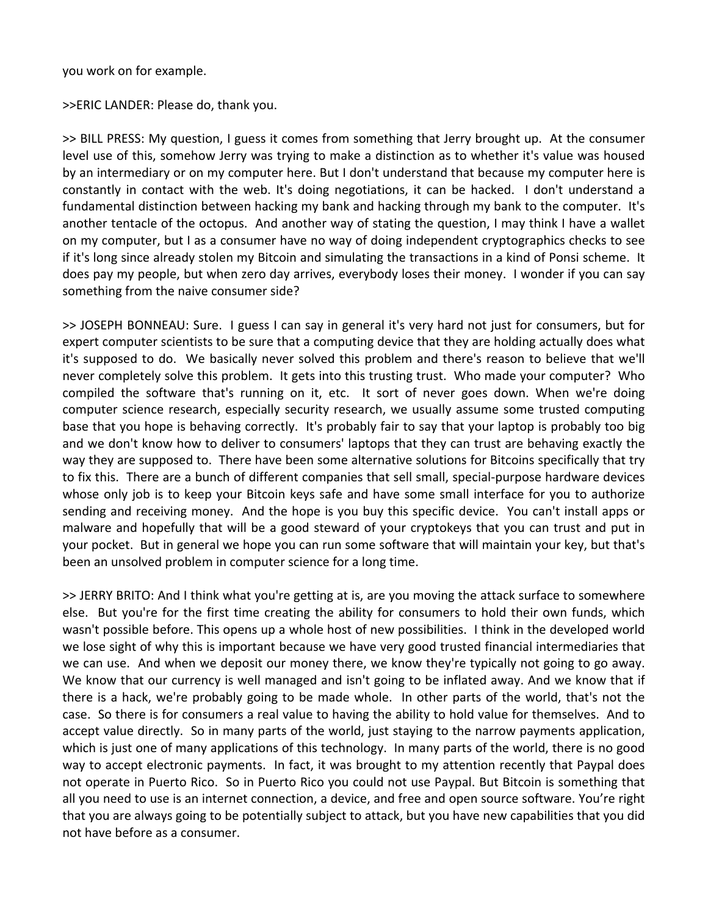you work on for example.

>>ERIC LANDER: Please do, thank you.

>> BILL PRESS: My question, I guess it comes from something that Jerry brought up. At the consumer level use of this, somehow Jerry was trying to make a distinction as to whether it's value was housed by an intermediary or on my computer here. But I don't understand that because my computer here is constantly in contact with the web. It's doing negotiations, it can be hacked. I don't understand a fundamental distinction between hacking my bank and hacking through my bank to the computer. It's another tentacle of the octopus. And another way of stating the question, I may think I have a wallet on my computer, but I as a consumer have no way of doing independent cryptographics checks to see if it's long since already stolen my Bitcoin and simulating the transactions in a kind of Ponsi scheme. It does pay my people, but when zero day arrives, everybody loses their money. I wonder if you can say something from the naive consumer side?

>> JOSEPH BONNEAU: Sure. I guess I can say in general it's very hard not just for consumers, but for expert computer scientists to be sure that a computing device that they are holding actually does what it's supposed to do. We basically never solved this problem and there's reason to believe that we'll never completely solve this problem. It gets into this trusting trust. Who made your computer? Who compiled the software that's running on it, etc. It sort of never goes down. When we're doing computer science research, especially security research, we usually assume some trusted computing base that you hope is behaving correctly. It's probably fair to say that your laptop is probably too big and we don't know how to deliver to consumers' laptops that they can trust are behaving exactly the way they are supposed to. There have been some alternative solutions for Bitcoins specifically that try to fix this. There are a bunch of different companies that sell small, special‐purpose hardware devices whose only job is to keep your Bitcoin keys safe and have some small interface for you to authorize sending and receiving money. And the hope is you buy this specific device. You can't install apps or malware and hopefully that will be a good steward of your cryptokeys that you can trust and put in your pocket. But in general we hope you can run some software that will maintain your key, but that's been an unsolved problem in computer science for a long time.

>> JERRY BRITO: And I think what you're getting at is, are you moving the attack surface to somewhere else. But you're for the first time creating the ability for consumers to hold their own funds, which wasn't possible before. This opens up a whole host of new possibilities. I think in the developed world we lose sight of why this is important because we have very good trusted financial intermediaries that we can use. And when we deposit our money there, we know they're typically not going to go away. We know that our currency is well managed and isn't going to be inflated away. And we know that if there is a hack, we're probably going to be made whole. In other parts of the world, that's not the case. So there is for consumers a real value to having the ability to hold value for themselves. And to accept value directly. So in many parts of the world, just staying to the narrow payments application, which is just one of many applications of this technology. In many parts of the world, there is no good way to accept electronic payments. In fact, it was brought to my attention recently that Paypal does not operate in Puerto Rico. So in Puerto Rico you could not use Paypal. But Bitcoin is something that all you need to use is an internet connection, a device, and free and open source software. You're right that you are always going to be potentially subject to attack, but you have new capabilities that you did not have before as a consumer.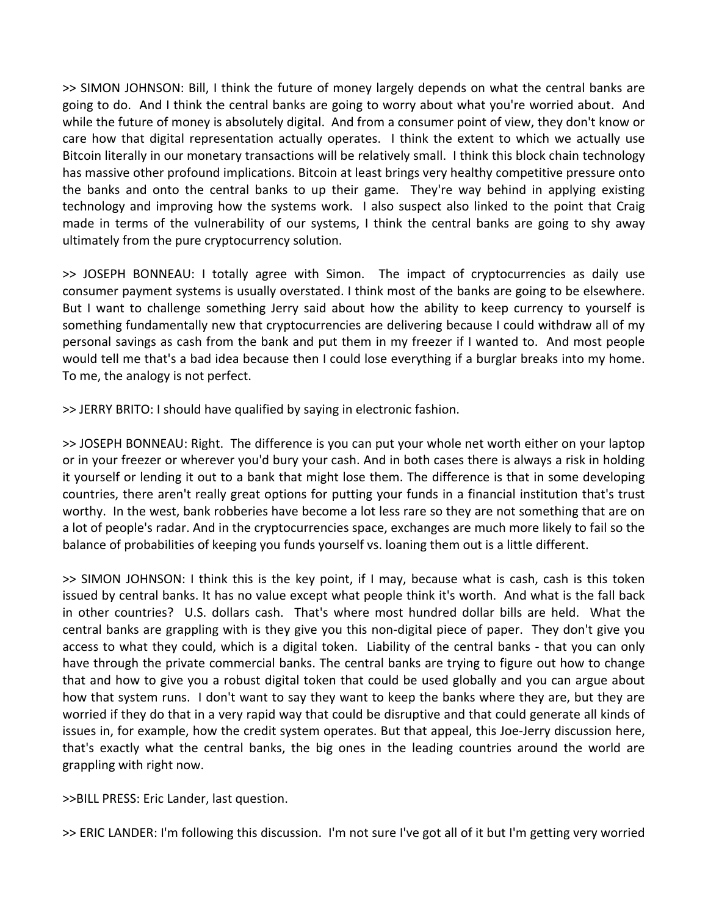>> SIMON JOHNSON: Bill, I think the future of money largely depends on what the central banks are going to do. And I think the central banks are going to worry about what you're worried about. And while the future of money is absolutely digital. And from a consumer point of view, they don't know or care how that digital representation actually operates. I think the extent to which we actually use Bitcoin literally in our monetary transactions will be relatively small. I think this block chain technology has massive other profound implications. Bitcoin at least brings very healthy competitive pressure onto the banks and onto the central banks to up their game. They're way behind in applying existing technology and improving how the systems work. I also suspect also linked to the point that Craig made in terms of the vulnerability of our systems, I think the central banks are going to shy away ultimately from the pure cryptocurrency solution.

>> JOSEPH BONNEAU: I totally agree with Simon. The impact of cryptocurrencies as daily use consumer payment systems is usually overstated. I think most of the banks are going to be elsewhere. But I want to challenge something Jerry said about how the ability to keep currency to yourself is something fundamentally new that cryptocurrencies are delivering because I could withdraw all of my personal savings as cash from the bank and put them in my freezer if I wanted to. And most people would tell me that's a bad idea because then I could lose everything if a burglar breaks into my home. To me, the analogy is not perfect.

>> JERRY BRITO: I should have qualified by saying in electronic fashion.

>> JOSEPH BONNEAU: Right. The difference is you can put your whole net worth either on your laptop or in your freezer or wherever you'd bury your cash. And in both cases there is always a risk in holding it yourself or lending it out to a bank that might lose them. The difference is that in some developing countries, there aren't really great options for putting your funds in a financial institution that's trust worthy. In the west, bank robberies have become a lot less rare so they are not something that are on a lot of people's radar. And in the cryptocurrencies space, exchanges are much more likely to fail so the balance of probabilities of keeping you funds yourself vs. loaning them out is a little different.

>> SIMON JOHNSON: I think this is the key point, if I may, because what is cash, cash is this token issued by central banks. It has no value except what people think it's worth. And what is the fall back in other countries? U.S. dollars cash. That's where most hundred dollar bills are held. What the central banks are grappling with is they give you this non‐digital piece of paper. They don't give you access to what they could, which is a digital token. Liability of the central banks - that you can only have through the private commercial banks. The central banks are trying to figure out how to change that and how to give you a robust digital token that could be used globally and you can argue about how that system runs. I don't want to say they want to keep the banks where they are, but they are worried if they do that in a very rapid way that could be disruptive and that could generate all kinds of issues in, for example, how the credit system operates. But that appeal, this Joe-Jerry discussion here, that's exactly what the central banks, the big ones in the leading countries around the world are grappling with right now.

>>BILL PRESS: Eric Lander, last question.

>> ERIC LANDER: I'm following this discussion. I'm not sure I've got all of it but I'm getting very worried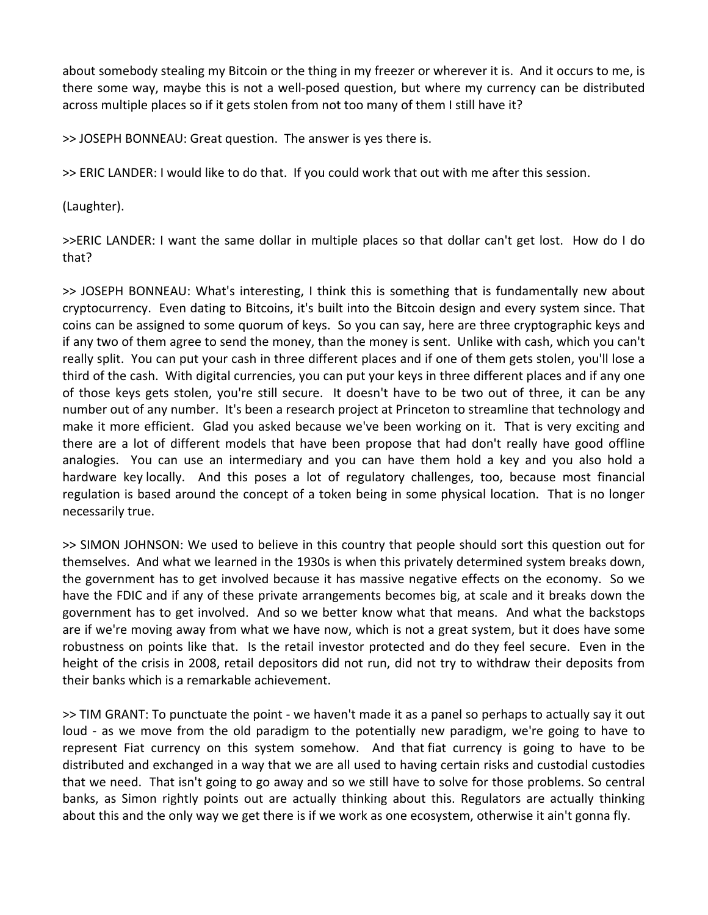about somebody stealing my Bitcoin or the thing in my freezer or wherever it is. And it occurs to me, is there some way, maybe this is not a well‐posed question, but where my currency can be distributed across multiple places so if it gets stolen from not too many of them I still have it?

>> JOSEPH BONNEAU: Great question. The answer is yes there is.

>> ERIC LANDER: I would like to do that. If you could work that out with me after this session.

(Laughter).

>>ERIC LANDER: I want the same dollar in multiple places so that dollar can't get lost. How do I do that?

>> JOSEPH BONNEAU: What's interesting, I think this is something that is fundamentally new about cryptocurrency. Even dating to Bitcoins, it's built into the Bitcoin design and every system since. That coins can be assigned to some quorum of keys. So you can say, here are three cryptographic keys and if any two of them agree to send the money, than the money is sent. Unlike with cash, which you can't really split. You can put your cash in three different places and if one of them gets stolen, you'll lose a third of the cash. With digital currencies, you can put your keys in three different places and if any one of those keys gets stolen, you're still secure. It doesn't have to be two out of three, it can be any number out of any number. It's been a research project at Princeton to streamline that technology and make it more efficient. Glad you asked because we've been working on it. That is very exciting and there are a lot of different models that have been propose that had don't really have good offline analogies. You can use an intermediary and you can have them hold a key and you also hold a hardware key locally. And this poses a lot of regulatory challenges, too, because most financial regulation is based around the concept of a token being in some physical location. That is no longer necessarily true.

>> SIMON JOHNSON: We used to believe in this country that people should sort this question out for themselves. And what we learned in the 1930s is when this privately determined system breaks down, the government has to get involved because it has massive negative effects on the economy. So we have the FDIC and if any of these private arrangements becomes big, at scale and it breaks down the government has to get involved. And so we better know what that means. And what the backstops are if we're moving away from what we have now, which is not a great system, but it does have some robustness on points like that. Is the retail investor protected and do they feel secure. Even in the height of the crisis in 2008, retail depositors did not run, did not try to withdraw their deposits from their banks which is a remarkable achievement.

>> TIM GRANT: To punctuate the point ‐ we haven't made it as a panel so perhaps to actually say it out loud - as we move from the old paradigm to the potentially new paradigm, we're going to have to represent Fiat currency on this system somehow. And that fiat currency is going to have to be distributed and exchanged in a way that we are all used to having certain risks and custodial custodies that we need. That isn't going to go away and so we still have to solve for those problems. So central banks, as Simon rightly points out are actually thinking about this. Regulators are actually thinking about this and the only way we get there is if we work as one ecosystem, otherwise it ain't gonna fly.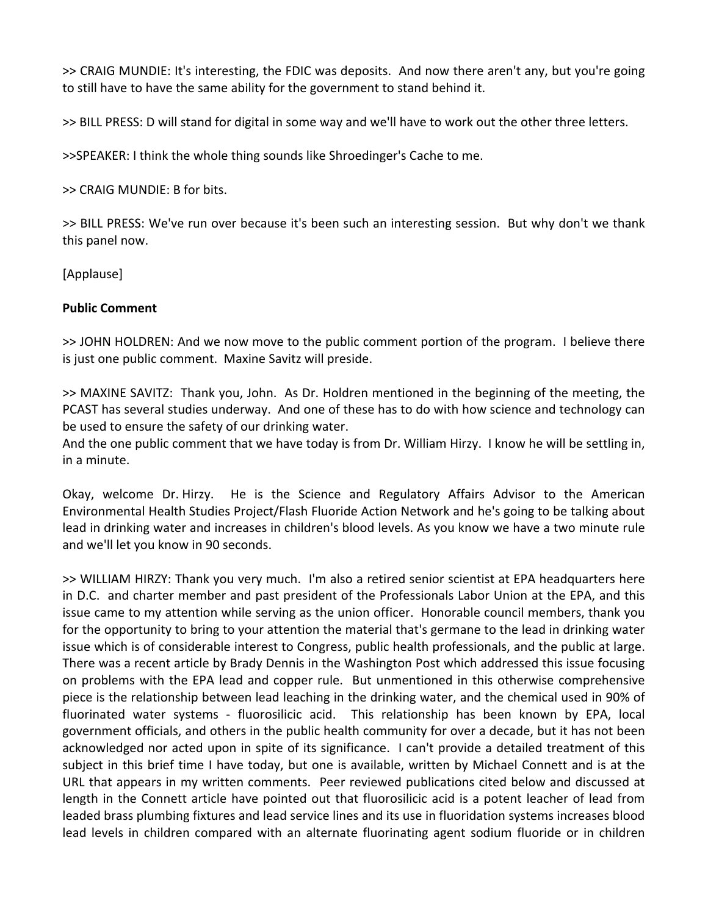>> CRAIG MUNDIE: It's interesting, the FDIC was deposits. And now there aren't any, but you're going to still have to have the same ability for the government to stand behind it.

>> BILL PRESS: D will stand for digital in some way and we'll have to work out the other three letters.

>>SPEAKER: I think the whole thing sounds like Shroedinger's Cache to me.

>> CRAIG MUNDIE: B for bits.

>> BILL PRESS: We've run over because it's been such an interesting session. But why don't we thank this panel now.

[Applause]

### **Public Comment**

>> JOHN HOLDREN: And we now move to the public comment portion of the program. I believe there is just one public comment. Maxine Savitz will preside.

>> MAXINE SAVITZ: Thank you, John. As Dr. Holdren mentioned in the beginning of the meeting, the PCAST has several studies underway. And one of these has to do with how science and technology can be used to ensure the safety of our drinking water.

And the one public comment that we have today is from Dr. William Hirzy. I know he will be settling in, in a minute.

Okay, welcome Dr. Hirzy. He is the Science and Regulatory Affairs Advisor to the American Environmental Health Studies Project/Flash Fluoride Action Network and he's going to be talking about lead in drinking water and increases in children's blood levels. As you know we have a two minute rule and we'll let you know in 90 seconds.

>> WILLIAM HIRZY: Thank you very much. I'm also a retired senior scientist at EPA headquarters here in D.C. and charter member and past president of the Professionals Labor Union at the EPA, and this issue came to my attention while serving as the union officer. Honorable council members, thank you for the opportunity to bring to your attention the material that's germane to the lead in drinking water issue which is of considerable interest to Congress, public health professionals, and the public at large. There was a recent article by Brady Dennis in the Washington Post which addressed this issue focusing on problems with the EPA lead and copper rule. But unmentioned in this otherwise comprehensive piece is the relationship between lead leaching in the drinking water, and the chemical used in 90% of fluorinated water systems - fluorosilicic acid. This relationship has been known by EPA, local government officials, and others in the public health community for over a decade, but it has not been acknowledged nor acted upon in spite of its significance. I can't provide a detailed treatment of this subject in this brief time I have today, but one is available, written by Michael Connett and is at the URL that appears in my written comments. Peer reviewed publications cited below and discussed at length in the Connett article have pointed out that fluorosilicic acid is a potent leacher of lead from leaded brass plumbing fixtures and lead service lines and its use in fluoridation systems increases blood lead levels in children compared with an alternate fluorinating agent sodium fluoride or in children